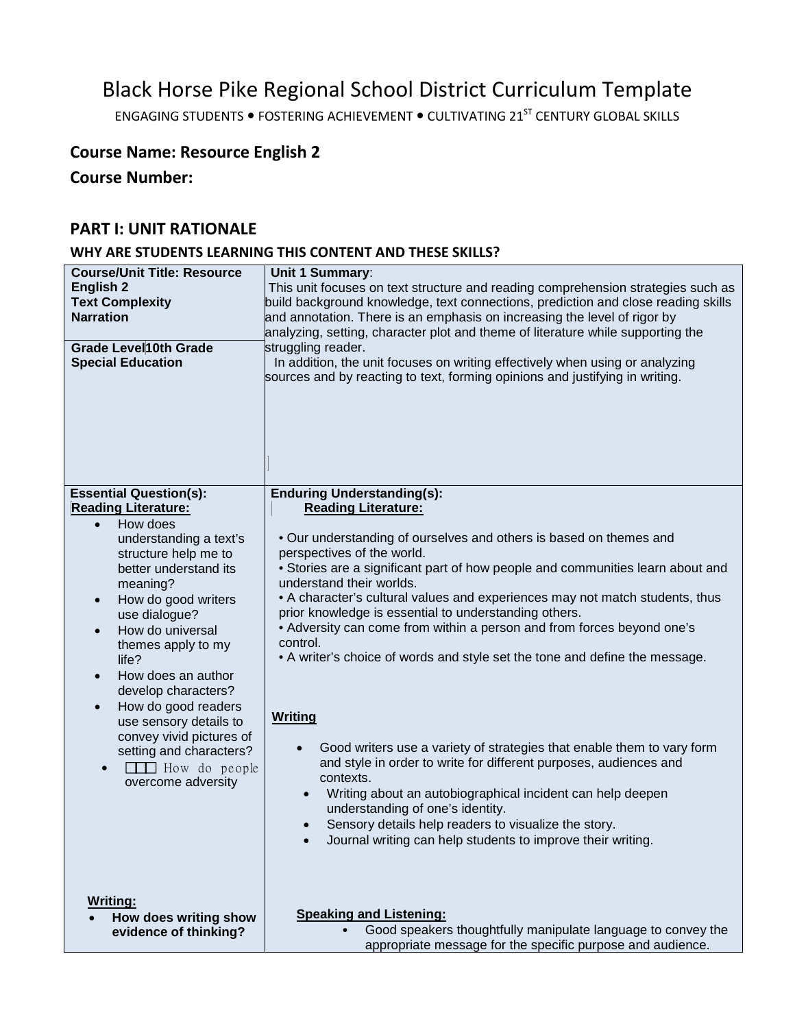# Black Horse Pike Regional School District Curriculum Template

ENGAGING STUDENTS . FOSTERING ACHIEVEMENT . CULTIVATING 21<sup>ST</sup> CENTURY GLOBAL SKILLS

## **Course Name: Resource English 2**

**Course Number:**

## **PART I: UNIT RATIONALE**

## **WHY ARE STUDENTS LEARNING THIS CONTENT AND THESE SKILLS?**

| <b>Course/Unit Title: Resource</b><br><b>English 2</b><br><b>Text Complexity</b><br><b>Narration</b><br><b>Grade Level10th Grade</b><br><b>Special Education</b>                                                                                                                                                                                                                                                                                                                                                                  | Unit 1 Summary:<br>This unit focuses on text structure and reading comprehension strategies such as<br>build background knowledge, text connections, prediction and close reading skills<br>and annotation. There is an emphasis on increasing the level of rigor by<br>analyzing, setting, character plot and theme of literature while supporting the<br>struggling reader.<br>In addition, the unit focuses on writing effectively when using or analyzing<br>sources and by reacting to text, forming opinions and justifying in writing.                                                                                                                                                                                                                                                                                                                                                                                                                                                                                    |
|-----------------------------------------------------------------------------------------------------------------------------------------------------------------------------------------------------------------------------------------------------------------------------------------------------------------------------------------------------------------------------------------------------------------------------------------------------------------------------------------------------------------------------------|----------------------------------------------------------------------------------------------------------------------------------------------------------------------------------------------------------------------------------------------------------------------------------------------------------------------------------------------------------------------------------------------------------------------------------------------------------------------------------------------------------------------------------------------------------------------------------------------------------------------------------------------------------------------------------------------------------------------------------------------------------------------------------------------------------------------------------------------------------------------------------------------------------------------------------------------------------------------------------------------------------------------------------|
|                                                                                                                                                                                                                                                                                                                                                                                                                                                                                                                                   |                                                                                                                                                                                                                                                                                                                                                                                                                                                                                                                                                                                                                                                                                                                                                                                                                                                                                                                                                                                                                                  |
| <b>Essential Question(s):</b><br><b>Reading Literature:</b><br>How does<br>$\bullet$<br>understanding a text's<br>structure help me to<br>better understand its<br>meaning?<br>How do good writers<br>$\bullet$<br>use dialogue?<br>How do universal<br>$\bullet$<br>themes apply to my<br>life?<br>How does an author<br>$\bullet$<br>develop characters?<br>How do good readers<br>$\bullet$<br>use sensory details to<br>convey vivid pictures of<br>setting and characters?<br><b>The How</b> do people<br>overcome adversity | <b>Enduring Understanding(s):</b><br><b>Reading Literature:</b><br>. Our understanding of ourselves and others is based on themes and<br>perspectives of the world.<br>• Stories are a significant part of how people and communities learn about and<br>understand their worlds.<br>• A character's cultural values and experiences may not match students, thus<br>prior knowledge is essential to understanding others.<br>• Adversity can come from within a person and from forces beyond one's<br>control.<br>• A writer's choice of words and style set the tone and define the message.<br><b>Writing</b><br>Good writers use a variety of strategies that enable them to vary form<br>and style in order to write for different purposes, audiences and<br>contexts.<br>Writing about an autobiographical incident can help deepen<br>$\bullet$<br>understanding of one's identity.<br>Sensory details help readers to visualize the story.<br>$\bullet$<br>Journal writing can help students to improve their writing. |
| <b>Writing:</b><br>How does writing show<br>evidence of thinking?                                                                                                                                                                                                                                                                                                                                                                                                                                                                 | <b>Speaking and Listening:</b><br>Good speakers thoughtfully manipulate language to convey the<br>appropriate message for the specific purpose and audience.                                                                                                                                                                                                                                                                                                                                                                                                                                                                                                                                                                                                                                                                                                                                                                                                                                                                     |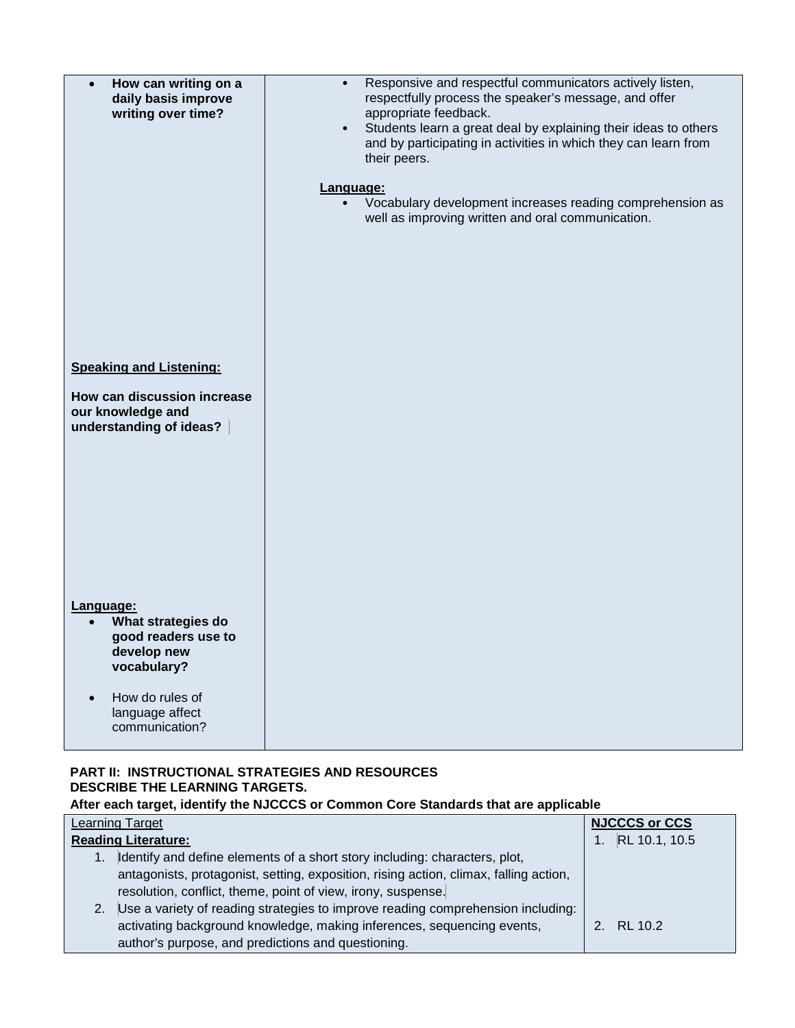| How can writing on a<br>daily basis improve<br>writing over time?                                                                                         | Responsive and respectful communicators actively listen,<br>$\bullet$<br>respectfully process the speaker's message, and offer<br>appropriate feedback.<br>Students learn a great deal by explaining their ideas to others<br>$\bullet$<br>and by participating in activities in which they can learn from<br>their peers.<br>Language:<br>Vocabulary development increases reading comprehension as<br>$\bullet$<br>well as improving written and oral communication. |
|-----------------------------------------------------------------------------------------------------------------------------------------------------------|------------------------------------------------------------------------------------------------------------------------------------------------------------------------------------------------------------------------------------------------------------------------------------------------------------------------------------------------------------------------------------------------------------------------------------------------------------------------|
| <b>Speaking and Listening:</b><br>How can discussion increase<br>our knowledge and<br>understanding of ideas?                                             |                                                                                                                                                                                                                                                                                                                                                                                                                                                                        |
| Language:<br>What strategies do<br>good readers use to<br>develop new<br>vocabulary?<br>How do rules of<br>$\bullet$<br>language affect<br>communication? |                                                                                                                                                                                                                                                                                                                                                                                                                                                                        |

## **PART II: INSTRUCTIONAL STRATEGIES AND RESOURCES DESCRIBE THE LEARNING TARGETS. After each target, identify the NJCCCS or Common Core Standards that are applicable**

| Learning Target                                                                       | <b>NJCCCS or CCS</b> |
|---------------------------------------------------------------------------------------|----------------------|
| <b>Reading Literature:</b>                                                            | 1. RL 10.1, 10.5     |
| Identify and define elements of a short story including: characters, plot,            |                      |
| antagonists, protagonist, setting, exposition, rising action, climax, falling action, |                      |
| resolution, conflict, theme, point of view, irony, suspense.                          |                      |
| 2. Use a variety of reading strategies to improve reading comprehension including:    |                      |
| activating background knowledge, making inferences, sequencing events,                | 2. RL 10.2           |
| author's purpose, and predictions and questioning.                                    |                      |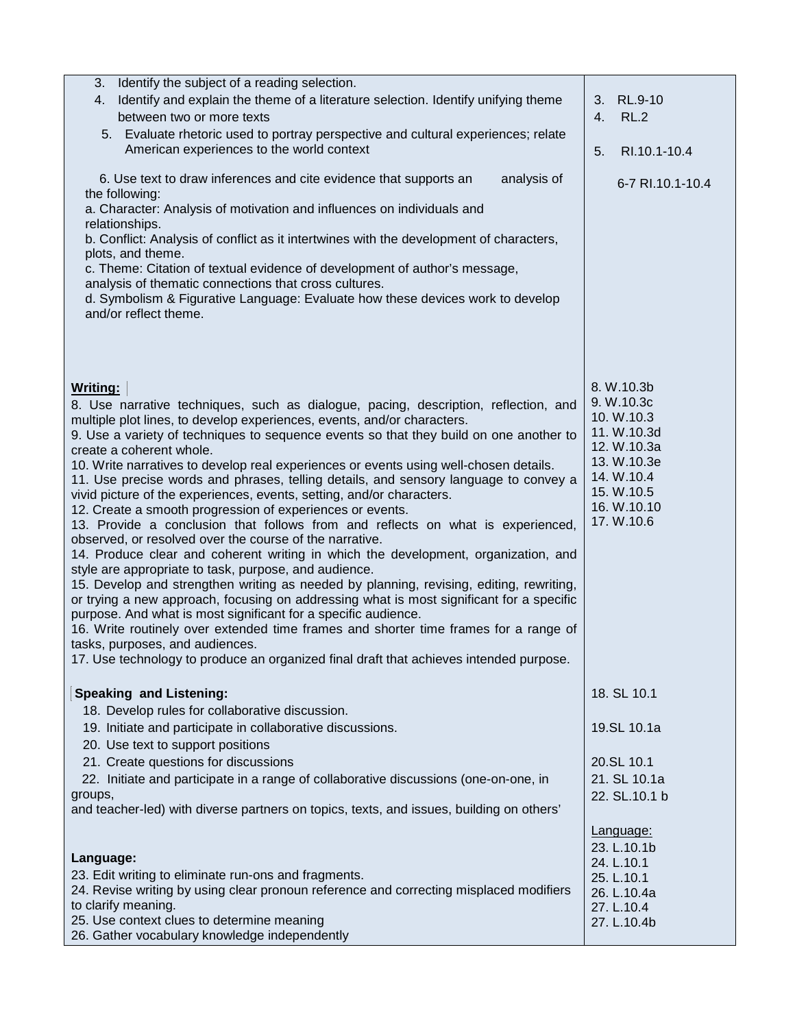| 3.<br>Identify the subject of a reading selection.<br>Identify and explain the theme of a literature selection. Identify unifying theme<br>4.<br>between two or more texts<br>5. Evaluate rhetoric used to portray perspective and cultural experiences; relate<br>American experiences to the world context<br>6. Use text to draw inferences and cite evidence that supports an<br>analysis of<br>the following:<br>a. Character: Analysis of motivation and influences on individuals and<br>relationships.<br>b. Conflict: Analysis of conflict as it intertwines with the development of characters,<br>plots, and theme.<br>c. Theme: Citation of textual evidence of development of author's message,<br>analysis of thematic connections that cross cultures.<br>d. Symbolism & Figurative Language: Evaluate how these devices work to develop<br>and/or reflect theme.                                                                                                                                                                                                                                                                                                                                                                                                                                                                                                                          | 3.<br>RL.9-10<br><b>RL.2</b><br>4.<br>RI.10.1-10.4<br>5.<br>6-7 RI.10.1-10.4                                                                 |
|-----------------------------------------------------------------------------------------------------------------------------------------------------------------------------------------------------------------------------------------------------------------------------------------------------------------------------------------------------------------------------------------------------------------------------------------------------------------------------------------------------------------------------------------------------------------------------------------------------------------------------------------------------------------------------------------------------------------------------------------------------------------------------------------------------------------------------------------------------------------------------------------------------------------------------------------------------------------------------------------------------------------------------------------------------------------------------------------------------------------------------------------------------------------------------------------------------------------------------------------------------------------------------------------------------------------------------------------------------------------------------------------------------------|----------------------------------------------------------------------------------------------------------------------------------------------|
| <b>Writing:</b><br>8. Use narrative techniques, such as dialogue, pacing, description, reflection, and<br>multiple plot lines, to develop experiences, events, and/or characters.<br>9. Use a variety of techniques to sequence events so that they build on one another to<br>create a coherent whole.<br>10. Write narratives to develop real experiences or events using well-chosen details.<br>11. Use precise words and phrases, telling details, and sensory language to convey a<br>vivid picture of the experiences, events, setting, and/or characters.<br>12. Create a smooth progression of experiences or events.<br>13. Provide a conclusion that follows from and reflects on what is experienced,<br>observed, or resolved over the course of the narrative.<br>14. Produce clear and coherent writing in which the development, organization, and<br>style are appropriate to task, purpose, and audience.<br>15. Develop and strengthen writing as needed by planning, revising, editing, rewriting,<br>or trying a new approach, focusing on addressing what is most significant for a specific<br>purpose. And what is most significant for a specific audience.<br>16. Write routinely over extended time frames and shorter time frames for a range of<br>tasks, purposes, and audiences.<br>17. Use technology to produce an organized final draft that achieves intended purpose. | 8. W.10.3b<br>9. W.10.3c<br>10. W.10.3<br>11. W.10.3d<br>12. W.10.3a<br>13. W.10.3e<br>14. W.10.4<br>15. W.10.5<br>16. W.10.10<br>17. W.10.6 |
| <b>Speaking and Listening:</b><br>18. Develop rules for collaborative discussion.<br>19. Initiate and participate in collaborative discussions.<br>20. Use text to support positions<br>21. Create questions for discussions<br>22. Initiate and participate in a range of collaborative discussions (one-on-one, in<br>groups,<br>and teacher-led) with diverse partners on topics, texts, and issues, building on others'                                                                                                                                                                                                                                                                                                                                                                                                                                                                                                                                                                                                                                                                                                                                                                                                                                                                                                                                                                               | 18. SL 10.1<br>19.SL 10.1a<br>20.SL 10.1<br>21. SL 10.1a<br>22. SL.10.1 b                                                                    |
| Language:<br>23. Edit writing to eliminate run-ons and fragments.<br>24. Revise writing by using clear pronoun reference and correcting misplaced modifiers<br>to clarify meaning.<br>25. Use context clues to determine meaning<br>26. Gather vocabulary knowledge independently                                                                                                                                                                                                                                                                                                                                                                                                                                                                                                                                                                                                                                                                                                                                                                                                                                                                                                                                                                                                                                                                                                                         | Language:<br>23. L.10.1b<br>24. L.10.1<br>25. L.10.1<br>26. L.10.4a<br>27. L.10.4<br>27. L.10.4b                                             |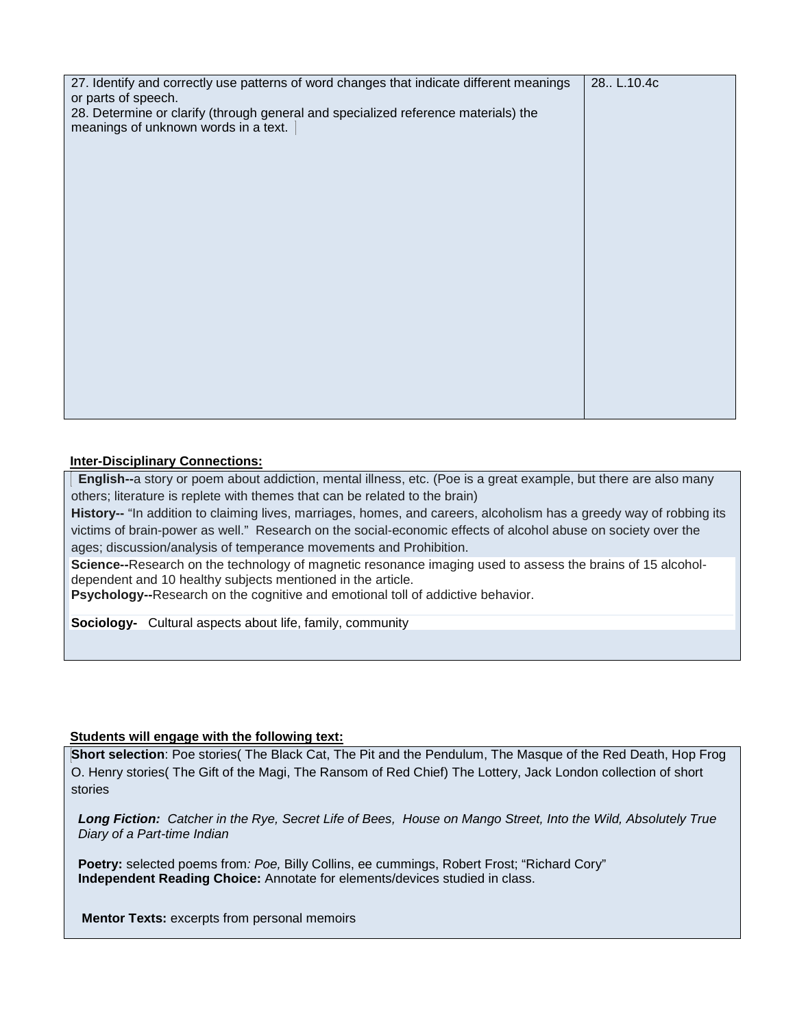| 27. Identify and correctly use patterns of word changes that indicate different meanings<br>or parts of speech.<br>28. Determine or clarify (through general and specialized reference materials) the | 28. L.10.4c |
|-------------------------------------------------------------------------------------------------------------------------------------------------------------------------------------------------------|-------------|
| meanings of unknown words in a text.                                                                                                                                                                  |             |
|                                                                                                                                                                                                       |             |
|                                                                                                                                                                                                       |             |
|                                                                                                                                                                                                       |             |
|                                                                                                                                                                                                       |             |
|                                                                                                                                                                                                       |             |
|                                                                                                                                                                                                       |             |

## **Inter-Disciplinary Connections:**

 **English--**a story or poem about addiction, mental illness, etc. (Poe is a great example, but there are also many others; literature is replete with themes that can be related to the brain)

**History--** "In addition to claiming lives, marriages, homes, and careers, alcoholism has a greedy way of robbing its victims of brain-power as well." Research on the social-economic effects of alcohol abuse on society over the ages; discussion/analysis of temperance movements and Prohibition.

**Science--**Research on the technology of magnetic resonance imaging used to assess the brains of 15 alcoholdependent and 10 healthy subjects mentioned in the article.

**Psychology--**Research on the cognitive and emotional toll of addictive behavior.

**Sociology-** Cultural aspects about life, family, community

## **Students will engage with the following text:**

**Short selection**: Poe stories( The Black Cat, The Pit and the Pendulum, The Masque of the Red Death, Hop Frog O. Henry stories( The Gift of the Magi, The Ransom of Red Chief) The Lottery, Jack London collection of short stories

*Long Fiction: Catcher in the Rye, Secret Life of Bees, House on Mango Street, Into the Wild, Absolutely True Diary of a Part-time Indian* 

**Poetry:** selected poems from*: Poe,* Billy Collins, ee cummings, Robert Frost; "Richard Cory" **Independent Reading Choice:** Annotate for elements/devices studied in class.

**Mentor Texts:** excerpts from personal memoirs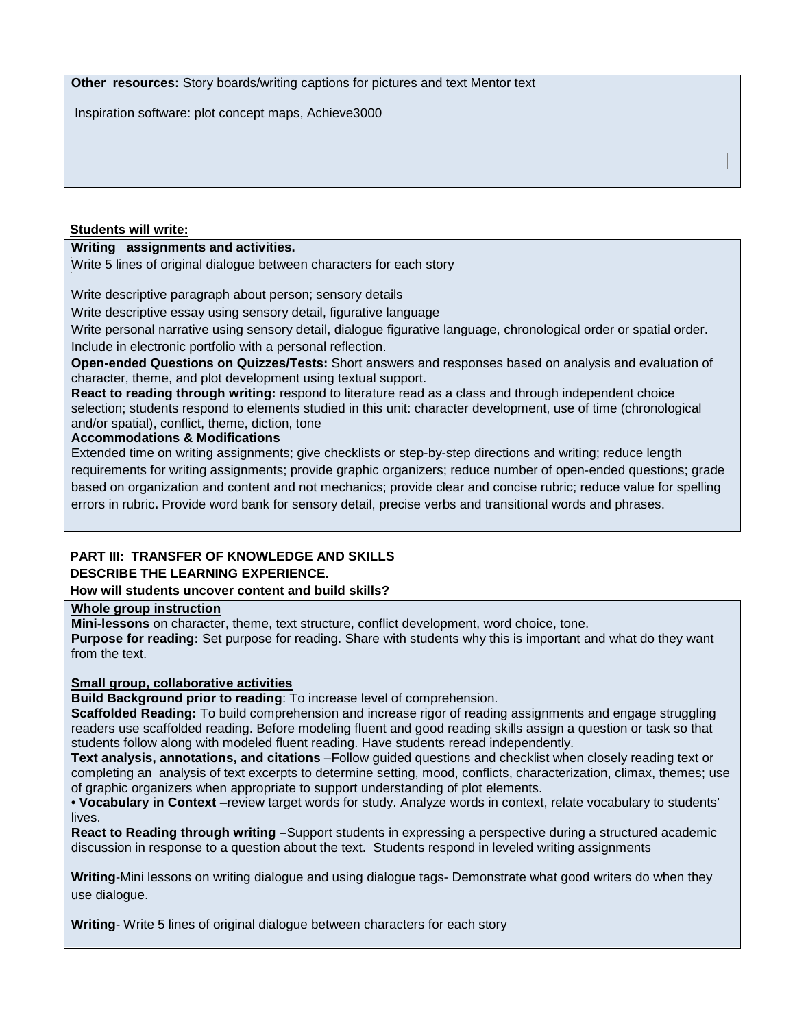**Other resources:** Story boards/writing captions for pictures and text Mentor text

Inspiration software: plot concept maps, Achieve3000

## **Students will write:**

## **Writing assignments and activities.**

Write 5 lines of original dialogue between characters for each story

Write descriptive paragraph about person; sensory details

Write descriptive essay using sensory detail, figurative language

Write personal narrative using sensory detail, dialogue figurative language, chronological order or spatial order. Include in electronic portfolio with a personal reflection.

**Open-ended Questions on Quizzes/Tests:** Short answers and responses based on analysis and evaluation of character, theme, and plot development using textual support.

**React to reading through writing:** respond to literature read as a class and through independent choice selection; students respond to elements studied in this unit: character development, use of time (chronological and/or spatial), conflict, theme, diction, tone

#### **Accommodations & Modifications**

Extended time on writing assignments; give checklists or step-by-step directions and writing; reduce length requirements for writing assignments; provide graphic organizers; reduce number of open-ended questions; grade based on organization and content and not mechanics; provide clear and concise rubric; reduce value for spelling errors in rubric**.** Provide word bank for sensory detail, precise verbs and transitional words and phrases.

## **PART III: TRANSFER OF KNOWLEDGE AND SKILLS DESCRIBE THE LEARNING EXPERIENCE.**

#### **How will students uncover content and build skills?**

**Whole group instruction**

**Mini-lessons** on character, theme, text structure, conflict development, word choice, tone. **Purpose for reading:** Set purpose for reading. Share with students why this is important and what do they want from the text.

#### **Small group, collaborative activities**

**Build Background prior to reading**: To increase level of comprehension.

**Scaffolded Reading:** To build comprehension and increase rigor of reading assignments and engage struggling readers use scaffolded reading. Before modeling fluent and good reading skills assign a question or task so that students follow along with modeled fluent reading. Have students reread independently.

**Text analysis, annotations, and citations** –Follow guided questions and checklist when closely reading text or completing an analysis of text excerpts to determine setting, mood, conflicts, characterization, climax, themes; use of graphic organizers when appropriate to support understanding of plot elements.

• **Vocabulary in Context** –review target words for study. Analyze words in context, relate vocabulary to students' lives.

**React to Reading through writing –**Support students in expressing a perspective during a structured academic discussion in response to a question about the text. Students respond in leveled writing assignments

**Writing**-Mini lessons on writing dialogue and using dialogue tags- Demonstrate what good writers do when they use dialogue.

**Writing**- Write 5 lines of original dialogue between characters for each story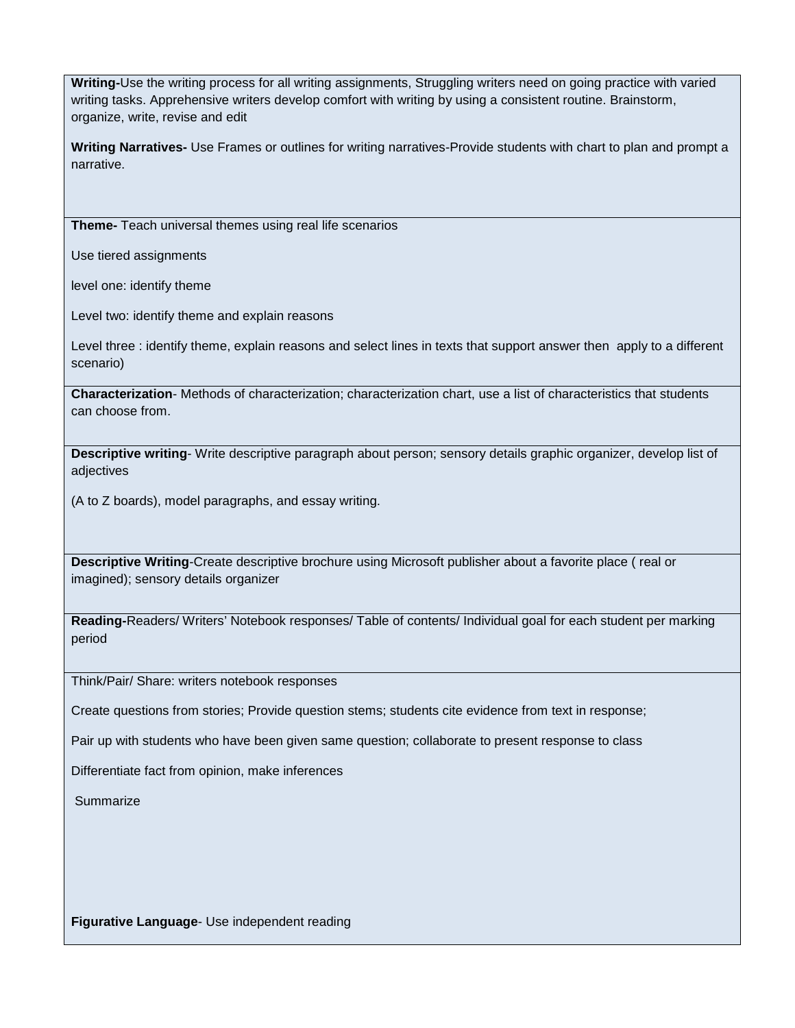**Writing-**Use the writing process for all writing assignments, Struggling writers need on going practice with varied writing tasks. Apprehensive writers develop comfort with writing by using a consistent routine. Brainstorm, organize, write, revise and edit

**Writing Narratives-** Use Frames or outlines for writing narratives-Provide students with chart to plan and prompt a narrative.

**Theme-** Teach universal themes using real life scenarios

Use tiered assignments

level one: identify theme

Level two: identify theme and explain reasons

Level three : identify theme, explain reasons and select lines in texts that support answer then apply to a different scenario)

**Characterization**- Methods of characterization; characterization chart, use a list of characteristics that students can choose from.

**Descriptive writing**- Write descriptive paragraph about person; sensory details graphic organizer, develop list of adjectives

(A to Z boards), model paragraphs, and essay writing.

**Descriptive Writing**-Create descriptive brochure using Microsoft publisher about a favorite place ( real or imagined); sensory details organizer

**Reading-**Readers/ Writers' Notebook responses/ Table of contents/ Individual goal for each student per marking period

Think/Pair/ Share: writers notebook responses

Create questions from stories; Provide question stems; students cite evidence from text in response;

Pair up with students who have been given same question; collaborate to present response to class

Differentiate fact from opinion, make inferences

**Summarize** 

**Figurative Language**- Use independent reading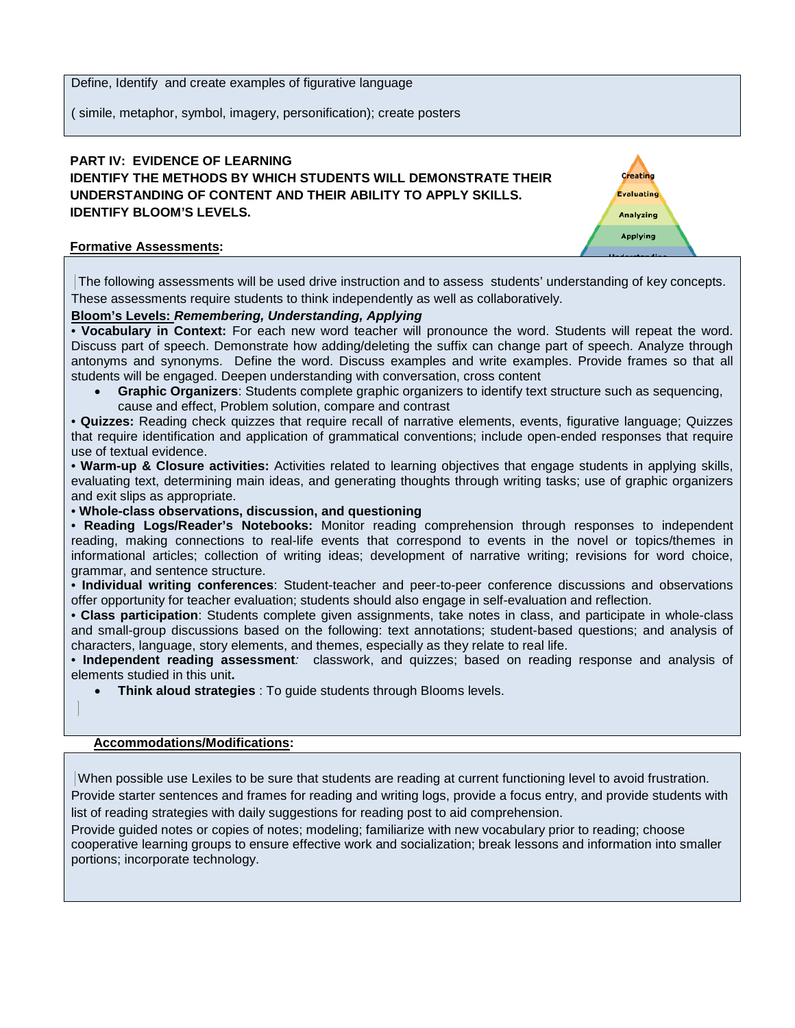Define, Identify and create examples of figurative language

( simile, metaphor, symbol, imagery, personification); create posters

## **PART IV: EVIDENCE OF LEARNING IDENTIFY THE METHODS BY WHICH STUDENTS WILL DEMONSTRATE THEIR UNDERSTANDING OF CONTENT AND THEIR ABILITY TO APPLY SKILLS. IDENTIFY BLOOM'S LEVELS.**



## **Formative Assessments:**

The following assessments will be used drive instruction and to assess students' understanding of key concepts. These assessments require students to think independently as well as collaboratively.

## **Bloom's Levels:** *Remembering, Understanding, Applying*

• **Vocabulary in Context:** For each new word teacher will pronounce the word. Students will repeat the word. Discuss part of speech. Demonstrate how adding/deleting the suffix can change part of speech. Analyze through antonyms and synonyms. Define the word. Discuss examples and write examples. Provide frames so that all students will be engaged. Deepen understanding with conversation, cross content

• **Graphic Organizers**: Students complete graphic organizers to identify text structure such as sequencing, cause and effect, Problem solution, compare and contrast

• **Quizzes:** Reading check quizzes that require recall of narrative elements, events, figurative language; Quizzes that require identification and application of grammatical conventions; include open-ended responses that require use of textual evidence.

• **Warm-up & Closure activities:** Activities related to learning objectives that engage students in applying skills, evaluating text, determining main ideas, and generating thoughts through writing tasks; use of graphic organizers and exit slips as appropriate.

• **Whole-class observations, discussion, and questioning** 

• **Reading Logs/Reader's Notebooks:** Monitor reading comprehension through responses to independent reading, making connections to real-life events that correspond to events in the novel or topics/themes in informational articles; collection of writing ideas; development of narrative writing; revisions for word choice, grammar, and sentence structure.

• **Individual writing conferences**: Student-teacher and peer-to-peer conference discussions and observations offer opportunity for teacher evaluation; students should also engage in self-evaluation and reflection.

• **Class participation**: Students complete given assignments, take notes in class, and participate in whole-class and small-group discussions based on the following: text annotations; student-based questions; and analysis of characters, language, story elements, and themes, especially as they relate to real life.

• **Independent reading assessment***:* classwork, and quizzes; based on reading response and analysis of elements studied in this unit**.** 

• **Think aloud strategies** : To guide students through Blooms levels.

#### **Accommodations/Modifications:**

When possible use Lexiles to be sure that students are reading at current functioning level to avoid frustration. Provide starter sentences and frames for reading and writing logs, provide a focus entry, and provide students with list of reading strategies with daily suggestions for reading post to aid comprehension.

Provide guided notes or copies of notes; modeling; familiarize with new vocabulary prior to reading; choose cooperative learning groups to ensure effective work and socialization; break lessons and information into smaller portions; incorporate technology.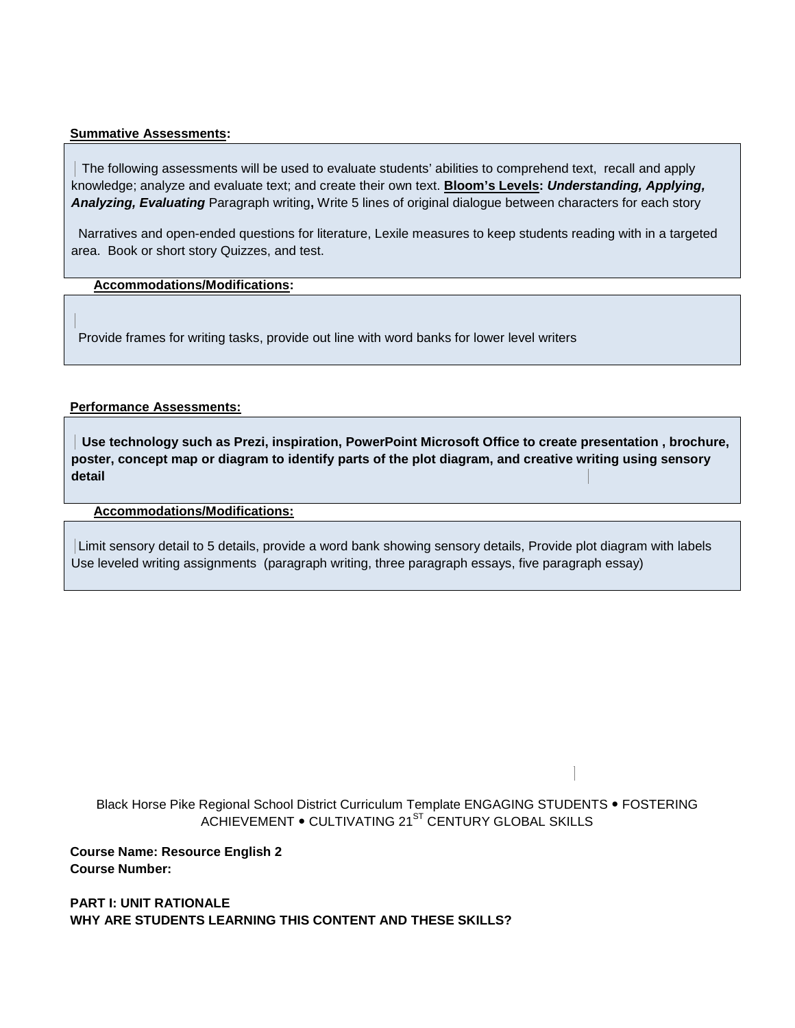#### **Summative Assessments:**

 The following assessments will be used to evaluate students' abilities to comprehend text, recall and apply knowledge; analyze and evaluate text; and create their own text. **Bloom's Levels:** *Understanding, Applying, Analyzing, Evaluating* Paragraph writing**,** Write 5 lines of original dialogue between characters for each story

Narratives and open-ended questions for literature, Lexile measures to keep students reading with in a targeted area. Book or short story Quizzes, and test.

## **Accommodations/Modifications:**

Provide frames for writing tasks, provide out line with word banks for lower level writers

### **Performance Assessments:**

**Use technology such as Prezi, inspiration, PowerPoint Microsoft Office to create presentation , brochure, poster, concept map or diagram to identify parts of the plot diagram, and creative writing using sensory detail** 

#### **Accommodations/Modifications:**

Limit sensory detail to 5 details, provide a word bank showing sensory details, Provide plot diagram with labels Use leveled writing assignments (paragraph writing, three paragraph essays, five paragraph essay)

Black Horse Pike Regional School District Curriculum Template ENGAGING STUDENTS . FOSTERING ACHIEVEMENT . CULTIVATING 21<sup>ST</sup> CENTURY GLOBAL SKILLS

**Course Name: Resource English 2 Course Number:**

**PART I: UNIT RATIONALE WHY ARE STUDENTS LEARNING THIS CONTENT AND THESE SKILLS?**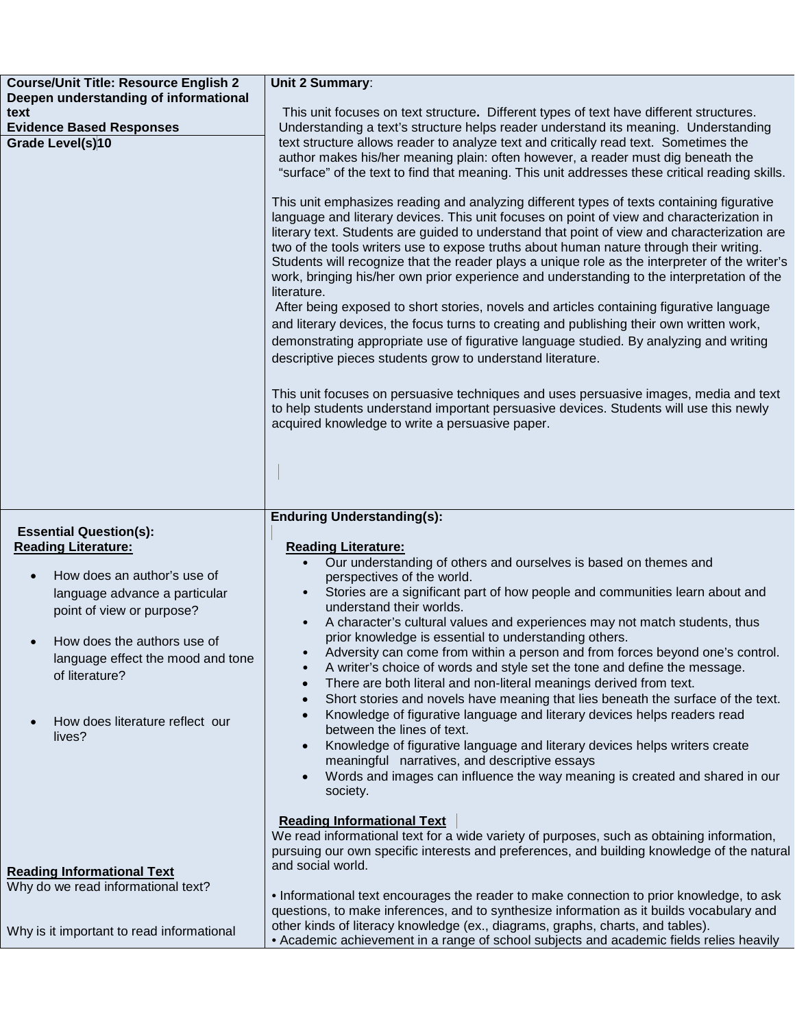| <b>Course/Unit Title: Resource English 2</b>                                              | Unit 2 Summary:                                                                                                                                                                                                                                                                                                                                                                                                                                                                                                                                                                                                                                                                                                                                                                                                                                                                                                                                  |
|-------------------------------------------------------------------------------------------|--------------------------------------------------------------------------------------------------------------------------------------------------------------------------------------------------------------------------------------------------------------------------------------------------------------------------------------------------------------------------------------------------------------------------------------------------------------------------------------------------------------------------------------------------------------------------------------------------------------------------------------------------------------------------------------------------------------------------------------------------------------------------------------------------------------------------------------------------------------------------------------------------------------------------------------------------|
| Deepen understanding of informational                                                     |                                                                                                                                                                                                                                                                                                                                                                                                                                                                                                                                                                                                                                                                                                                                                                                                                                                                                                                                                  |
| text<br><b>Evidence Based Responses</b>                                                   | This unit focuses on text structure. Different types of text have different structures.<br>Understanding a text's structure helps reader understand its meaning. Understanding                                                                                                                                                                                                                                                                                                                                                                                                                                                                                                                                                                                                                                                                                                                                                                   |
| Grade Level(s)10                                                                          | text structure allows reader to analyze text and critically read text. Sometimes the<br>author makes his/her meaning plain: often however, a reader must dig beneath the<br>"surface" of the text to find that meaning. This unit addresses these critical reading skills.                                                                                                                                                                                                                                                                                                                                                                                                                                                                                                                                                                                                                                                                       |
|                                                                                           | This unit emphasizes reading and analyzing different types of texts containing figurative<br>language and literary devices. This unit focuses on point of view and characterization in<br>literary text. Students are guided to understand that point of view and characterization are<br>two of the tools writers use to expose truths about human nature through their writing.<br>Students will recognize that the reader plays a unique role as the interpreter of the writer's<br>work, bringing his/her own prior experience and understanding to the interpretation of the<br>literature.<br>After being exposed to short stories, novels and articles containing figurative language<br>and literary devices, the focus turns to creating and publishing their own written work,<br>demonstrating appropriate use of figurative language studied. By analyzing and writing<br>descriptive pieces students grow to understand literature. |
|                                                                                           | This unit focuses on persuasive techniques and uses persuasive images, media and text<br>to help students understand important persuasive devices. Students will use this newly<br>acquired knowledge to write a persuasive paper.                                                                                                                                                                                                                                                                                                                                                                                                                                                                                                                                                                                                                                                                                                               |
|                                                                                           |                                                                                                                                                                                                                                                                                                                                                                                                                                                                                                                                                                                                                                                                                                                                                                                                                                                                                                                                                  |
|                                                                                           |                                                                                                                                                                                                                                                                                                                                                                                                                                                                                                                                                                                                                                                                                                                                                                                                                                                                                                                                                  |
|                                                                                           | <b>Enduring Understanding(s):</b>                                                                                                                                                                                                                                                                                                                                                                                                                                                                                                                                                                                                                                                                                                                                                                                                                                                                                                                |
| <b>Essential Question(s):</b><br><b>Reading Literature:</b>                               | <b>Reading Literature:</b>                                                                                                                                                                                                                                                                                                                                                                                                                                                                                                                                                                                                                                                                                                                                                                                                                                                                                                                       |
| $\bullet$                                                                                 | Our understanding of others and ourselves is based on themes and<br>$\bullet$                                                                                                                                                                                                                                                                                                                                                                                                                                                                                                                                                                                                                                                                                                                                                                                                                                                                    |
| How does an author's use of<br>language advance a particular<br>point of view or purpose? | perspectives of the world.<br>Stories are a significant part of how people and communities learn about and<br>$\bullet$<br>understand their worlds.                                                                                                                                                                                                                                                                                                                                                                                                                                                                                                                                                                                                                                                                                                                                                                                              |
|                                                                                           | A character's cultural values and experiences may not match students, thus<br>prior knowledge is essential to understanding others.                                                                                                                                                                                                                                                                                                                                                                                                                                                                                                                                                                                                                                                                                                                                                                                                              |
| How does the authors use of<br>language effect the mood and tone<br>of literature?        | Adversity can come from within a person and from forces beyond one's control.<br>A writer's choice of words and style set the tone and define the message.<br>$\bullet$<br>There are both literal and non-literal meanings derived from text.<br>$\bullet$                                                                                                                                                                                                                                                                                                                                                                                                                                                                                                                                                                                                                                                                                       |
| How does literature reflect our<br>$\bullet$<br>lives?                                    | Short stories and novels have meaning that lies beneath the surface of the text.<br>$\bullet$<br>Knowledge of figurative language and literary devices helps readers read<br>$\bullet$<br>between the lines of text.                                                                                                                                                                                                                                                                                                                                                                                                                                                                                                                                                                                                                                                                                                                             |
|                                                                                           | Knowledge of figurative language and literary devices helps writers create<br>$\bullet$<br>meaningful narratives, and descriptive essays                                                                                                                                                                                                                                                                                                                                                                                                                                                                                                                                                                                                                                                                                                                                                                                                         |
|                                                                                           | Words and images can influence the way meaning is created and shared in our<br>society.                                                                                                                                                                                                                                                                                                                                                                                                                                                                                                                                                                                                                                                                                                                                                                                                                                                          |
|                                                                                           | <b>Reading Informational Text</b><br>We read informational text for a wide variety of purposes, such as obtaining information,<br>pursuing our own specific interests and preferences, and building knowledge of the natural<br>and social world.                                                                                                                                                                                                                                                                                                                                                                                                                                                                                                                                                                                                                                                                                                |
| <b>Reading Informational Text</b><br>Why do we read informational text?                   | • Informational text encourages the reader to make connection to prior knowledge, to ask<br>questions, to make inferences, and to synthesize information as it builds vocabulary and                                                                                                                                                                                                                                                                                                                                                                                                                                                                                                                                                                                                                                                                                                                                                             |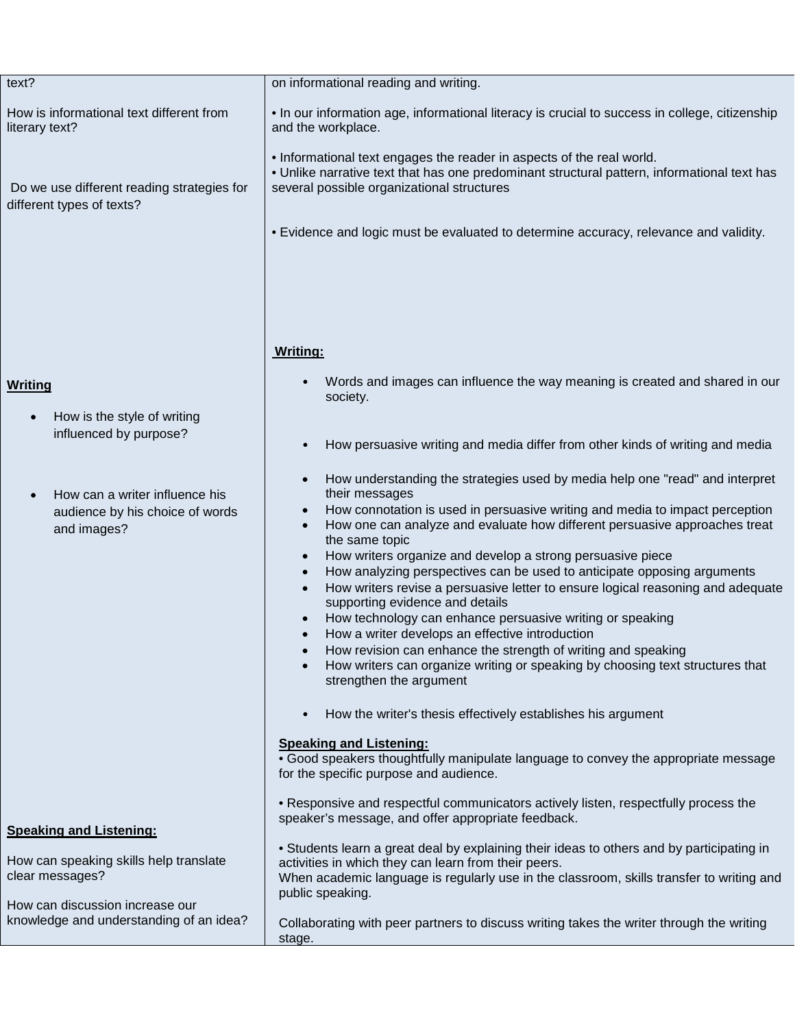| text?                                                                                                                          | on informational reading and writing.                                                                                                                                                                                                                                                                                                                                                                                                                                                                                                                                                                                                                                                                                                                                                                                                                                                                                                                                                                                                                                                                                                                                                         |
|--------------------------------------------------------------------------------------------------------------------------------|-----------------------------------------------------------------------------------------------------------------------------------------------------------------------------------------------------------------------------------------------------------------------------------------------------------------------------------------------------------------------------------------------------------------------------------------------------------------------------------------------------------------------------------------------------------------------------------------------------------------------------------------------------------------------------------------------------------------------------------------------------------------------------------------------------------------------------------------------------------------------------------------------------------------------------------------------------------------------------------------------------------------------------------------------------------------------------------------------------------------------------------------------------------------------------------------------|
| How is informational text different from<br>literary text?                                                                     | • In our information age, informational literacy is crucial to success in college, citizenship<br>and the workplace.                                                                                                                                                                                                                                                                                                                                                                                                                                                                                                                                                                                                                                                                                                                                                                                                                                                                                                                                                                                                                                                                          |
| Do we use different reading strategies for<br>different types of texts?                                                        | . Informational text engages the reader in aspects of the real world.<br>. Unlike narrative text that has one predominant structural pattern, informational text has<br>several possible organizational structures<br>. Evidence and logic must be evaluated to determine accuracy, relevance and validity.                                                                                                                                                                                                                                                                                                                                                                                                                                                                                                                                                                                                                                                                                                                                                                                                                                                                                   |
|                                                                                                                                | <b>Writing:</b>                                                                                                                                                                                                                                                                                                                                                                                                                                                                                                                                                                                                                                                                                                                                                                                                                                                                                                                                                                                                                                                                                                                                                                               |
| <b>Writing</b><br>How is the style of writing                                                                                  | Words and images can influence the way meaning is created and shared in our<br>society.                                                                                                                                                                                                                                                                                                                                                                                                                                                                                                                                                                                                                                                                                                                                                                                                                                                                                                                                                                                                                                                                                                       |
| influenced by purpose?                                                                                                         | How persuasive writing and media differ from other kinds of writing and media                                                                                                                                                                                                                                                                                                                                                                                                                                                                                                                                                                                                                                                                                                                                                                                                                                                                                                                                                                                                                                                                                                                 |
| How can a writer influence his<br>audience by his choice of words<br>and images?                                               | How understanding the strategies used by media help one "read" and interpret<br>their messages<br>How connotation is used in persuasive writing and media to impact perception<br>How one can analyze and evaluate how different persuasive approaches treat<br>$\bullet$<br>the same topic<br>How writers organize and develop a strong persuasive piece<br>How analyzing perspectives can be used to anticipate opposing arguments<br>$\bullet$<br>How writers revise a persuasive letter to ensure logical reasoning and adequate<br>supporting evidence and details<br>How technology can enhance persuasive writing or speaking<br>How a writer develops an effective introduction<br>How revision can enhance the strength of writing and speaking<br>How writers can organize writing or speaking by choosing text structures that<br>strengthen the argument<br>How the writer's thesis effectively establishes his argument<br><b>Speaking and Listening:</b><br>• Good speakers thoughtfully manipulate language to convey the appropriate message<br>for the specific purpose and audience.<br>• Responsive and respectful communicators actively listen, respectfully process the |
| <b>Speaking and Listening:</b><br>How can speaking skills help translate<br>clear messages?<br>How can discussion increase our | speaker's message, and offer appropriate feedback.<br>• Students learn a great deal by explaining their ideas to others and by participating in<br>activities in which they can learn from their peers.<br>When academic language is regularly use in the classroom, skills transfer to writing and<br>public speaking.                                                                                                                                                                                                                                                                                                                                                                                                                                                                                                                                                                                                                                                                                                                                                                                                                                                                       |
| knowledge and understanding of an idea?                                                                                        | Collaborating with peer partners to discuss writing takes the writer through the writing<br>stage.                                                                                                                                                                                                                                                                                                                                                                                                                                                                                                                                                                                                                                                                                                                                                                                                                                                                                                                                                                                                                                                                                            |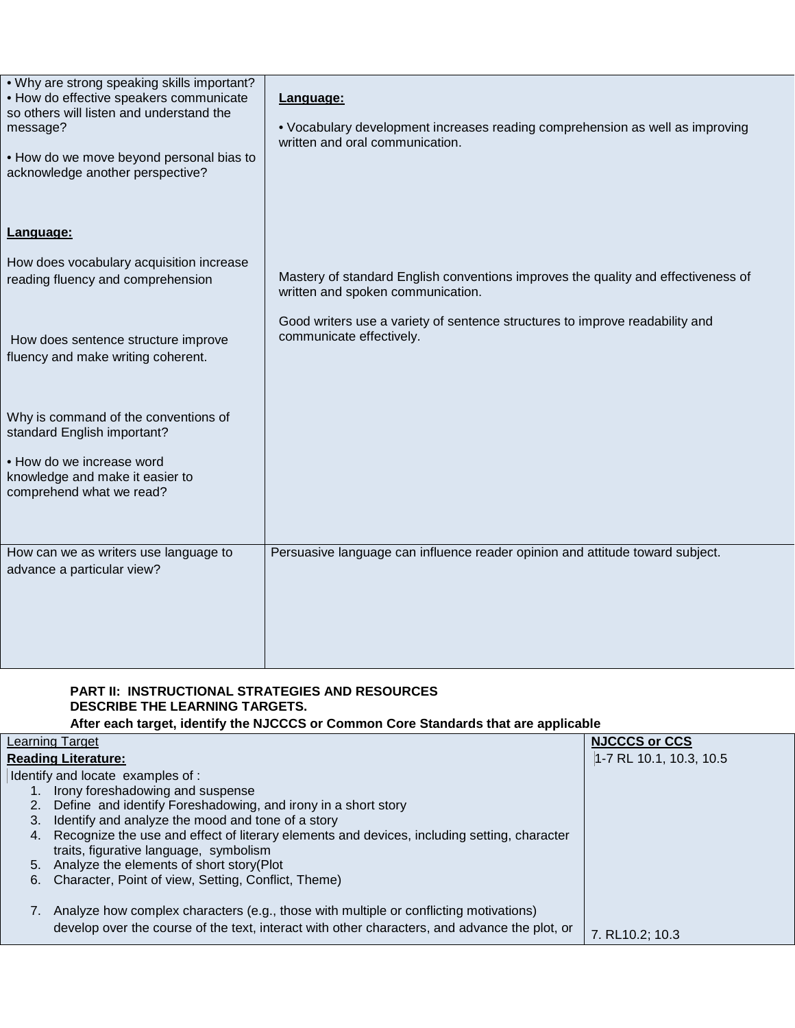| . Why are strong speaking skills important?<br>• How do effective speakers communicate<br>so others will listen and understand the<br>message?<br>. How do we move beyond personal bias to<br>acknowledge another perspective? | Language:<br>• Vocabulary development increases reading comprehension as well as improving<br>written and oral communication. |
|--------------------------------------------------------------------------------------------------------------------------------------------------------------------------------------------------------------------------------|-------------------------------------------------------------------------------------------------------------------------------|
| Language:                                                                                                                                                                                                                      |                                                                                                                               |
| How does vocabulary acquisition increase<br>reading fluency and comprehension                                                                                                                                                  | Mastery of standard English conventions improves the quality and effectiveness of<br>written and spoken communication.        |
| How does sentence structure improve<br>fluency and make writing coherent.                                                                                                                                                      | Good writers use a variety of sentence structures to improve readability and<br>communicate effectively.                      |
| Why is command of the conventions of<br>standard English important?                                                                                                                                                            |                                                                                                                               |
| • How do we increase word<br>knowledge and make it easier to<br>comprehend what we read?                                                                                                                                       |                                                                                                                               |
| How can we as writers use language to<br>advance a particular view?                                                                                                                                                            | Persuasive language can influence reader opinion and attitude toward subject.                                                 |

## **PART II: INSTRUCTIONAL STRATEGIES AND RESOURCES DESCRIBE THE LEARNING TARGETS.**

**After each target, identify the NJCCCS or Common Core Standards that are applicable**

|    | Learning Target                                                                               | <b>NJCCCS or CCS</b>    |
|----|-----------------------------------------------------------------------------------------------|-------------------------|
|    | <b>Reading Literature:</b>                                                                    | 1-7 RL 10.1, 10.3, 10.5 |
|    | Identify and locate examples of :                                                             |                         |
|    | Irony foreshadowing and suspense                                                              |                         |
| 2. | Define and identify Foreshadowing, and irony in a short story                                 |                         |
| 3. | Identify and analyze the mood and tone of a story                                             |                         |
| 4. | Recognize the use and effect of literary elements and devices, including setting, character   |                         |
|    | traits, figurative language, symbolism                                                        |                         |
| 5. | Analyze the elements of short story(Plot                                                      |                         |
| 6. | Character, Point of view, Setting, Conflict, Theme)                                           |                         |
|    |                                                                                               |                         |
|    | Analyze how complex characters (e.g., those with multiple or conflicting motivations)         |                         |
|    | develop over the course of the text, interact with other characters, and advance the plot, or |                         |
|    |                                                                                               | 7. RL10.2: 10.3         |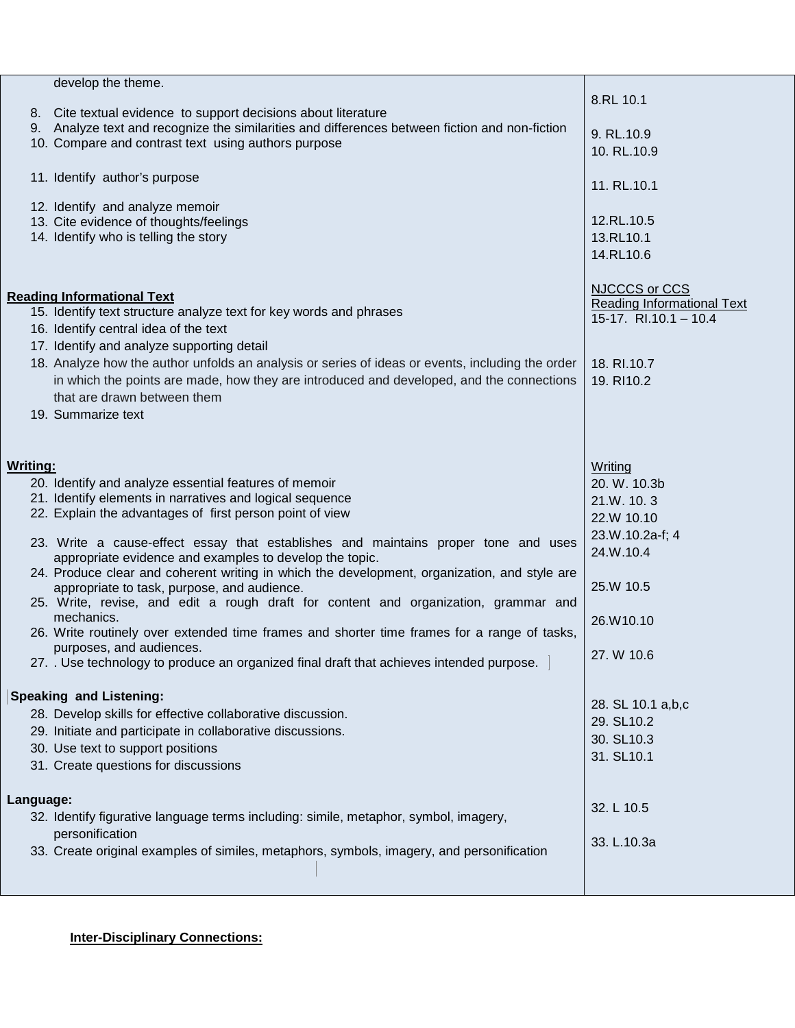|                 | develop the theme.                                                                               |                                   |
|-----------------|--------------------------------------------------------------------------------------------------|-----------------------------------|
|                 |                                                                                                  | 8.RL 10.1                         |
|                 | 8. Cite textual evidence to support decisions about literature                                   |                                   |
|                 | 9. Analyze text and recognize the similarities and differences between fiction and non-fiction   | 9. RL.10.9                        |
|                 | 10. Compare and contrast text using authors purpose                                              | 10. RL.10.9                       |
|                 |                                                                                                  |                                   |
|                 | 11. Identify author's purpose                                                                    |                                   |
|                 |                                                                                                  | 11. RL.10.1                       |
|                 | 12. Identify and analyze memoir                                                                  |                                   |
|                 | 13. Cite evidence of thoughts/feelings                                                           | 12.RL.10.5                        |
|                 | 14. Identify who is telling the story                                                            | 13.RL10.1                         |
|                 |                                                                                                  | 14.RL10.6                         |
|                 |                                                                                                  |                                   |
|                 |                                                                                                  | <b>NJCCCS or CCS</b>              |
|                 | <b>Reading Informational Text</b>                                                                | <b>Reading Informational Text</b> |
|                 | 15. Identify text structure analyze text for key words and phrases                               | 15-17. $R1.10.1 - 10.4$           |
|                 | 16. Identify central idea of the text                                                            |                                   |
|                 | 17. Identify and analyze supporting detail                                                       |                                   |
|                 | 18. Analyze how the author unfolds an analysis or series of ideas or events, including the order | 18. RI.10.7                       |
|                 | in which the points are made, how they are introduced and developed, and the connections         | 19. RI10.2                        |
|                 | that are drawn between them                                                                      |                                   |
|                 | 19. Summarize text                                                                               |                                   |
|                 |                                                                                                  |                                   |
|                 |                                                                                                  |                                   |
| <b>Writing:</b> |                                                                                                  | Writing                           |
|                 | 20. Identify and analyze essential features of memoir                                            | 20. W. 10.3b                      |
|                 | 21. Identify elements in narratives and logical sequence                                         | 21.W. 10.3                        |
|                 | 22. Explain the advantages of first person point of view                                         | 22.W 10.10                        |
|                 |                                                                                                  |                                   |
|                 | 23. Write a cause-effect essay that establishes and maintains proper tone and uses               | 23.W.10.2a-f; 4                   |
|                 | appropriate evidence and examples to develop the topic.                                          | 24.W.10.4                         |
|                 | 24. Produce clear and coherent writing in which the development, organization, and style are     |                                   |
|                 | appropriate to task, purpose, and audience.                                                      | 25.W 10.5                         |
|                 | 25. Write, revise, and edit a rough draft for content and organization, grammar and              |                                   |
|                 | mechanics.                                                                                       | 26.W10.10                         |
|                 | 26. Write routinely over extended time frames and shorter time frames for a range of tasks,      |                                   |
|                 | purposes, and audiences.<br>$-1$                                                                 | 27. W 10.6                        |
|                 | 27. Use technology to produce an organized final draft that achieves intended purpose.           |                                   |
|                 |                                                                                                  |                                   |
|                 | <b>Speaking and Listening:</b>                                                                   | 28. SL 10.1 a,b,c                 |
|                 | 28. Develop skills for effective collaborative discussion.                                       | 29. SL10.2                        |
|                 | 29. Initiate and participate in collaborative discussions.                                       | 30. SL10.3                        |
|                 | 30. Use text to support positions                                                                | 31. SL10.1                        |
|                 | 31. Create questions for discussions                                                             |                                   |
|                 |                                                                                                  |                                   |
| Language:       |                                                                                                  |                                   |
|                 | 32. Identify figurative language terms including: simile, metaphor, symbol, imagery,             | 32. L 10.5                        |
|                 | personification                                                                                  |                                   |
|                 | 33. Create original examples of similes, metaphors, symbols, imagery, and personification        | 33. L.10.3a                       |
|                 |                                                                                                  |                                   |
|                 |                                                                                                  |                                   |
|                 |                                                                                                  |                                   |

## **Inter-Disciplinary Connections:**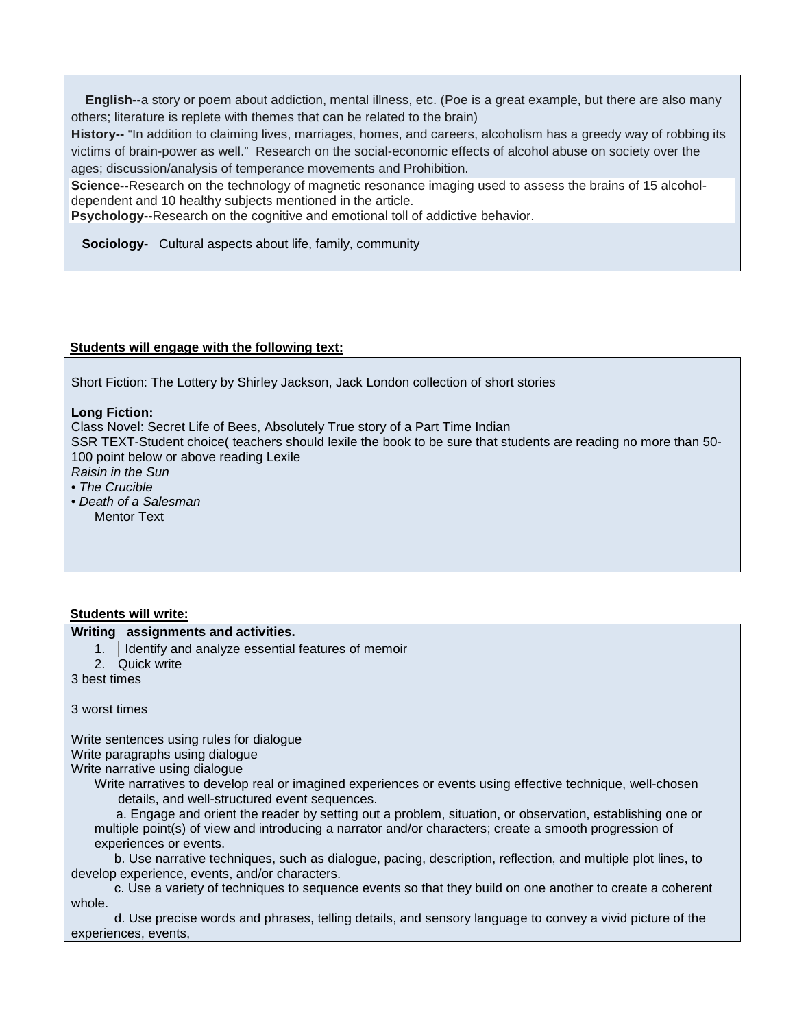**English--**a story or poem about addiction, mental illness, etc. (Poe is a great example, but there are also many others; literature is replete with themes that can be related to the brain)

**History--** "In addition to claiming lives, marriages, homes, and careers, alcoholism has a greedy way of robbing its victims of brain-power as well." Research on the social-economic effects of alcohol abuse on society over the ages; discussion/analysis of temperance movements and Prohibition.

**Science--**Research on the technology of magnetic resonance imaging used to assess the brains of 15 alcoholdependent and 10 healthy subjects mentioned in the article.

**Psychology--**Research on the cognitive and emotional toll of addictive behavior.

 **Sociology-** Cultural aspects about life, family, community

## **Students will engage with the following text:**

Short Fiction: The Lottery by Shirley Jackson, Jack London collection of short stories

#### **Long Fiction:**

Class Novel: Secret Life of Bees, Absolutely True story of a Part Time Indian

SSR TEXT-Student choice( teachers should lexile the book to be sure that students are reading no more than 50- 100 point below or above reading Lexile *Raisin in the Sun* 

- *The Crucible*
- *Death of a Salesman*  Mentor Text

## **Students will write:**

|               | Writing assignments and activities.                    |
|---------------|--------------------------------------------------------|
|               | 1.   Identify and analyze essential features of memoir |
|               | 2. Quick write                                         |
| 3 best times  |                                                        |
| 3 worst times |                                                        |

Write sentences using rules for dialogue Write paragraphs using dialogue Write narrative using dialogue

Write narratives to develop real or imagined experiences or events using effective technique, well-chosen details, and well-structured event sequences.

 a. Engage and orient the reader by setting out a problem, situation, or observation, establishing one or multiple point(s) of view and introducing a narrator and/or characters; create a smooth progression of experiences or events.

 b. Use narrative techniques, such as dialogue, pacing, description, reflection, and multiple plot lines, to develop experience, events, and/or characters.

 c. Use a variety of techniques to sequence events so that they build on one another to create a coherent whole.

 d. Use precise words and phrases, telling details, and sensory language to convey a vivid picture of the experiences, events,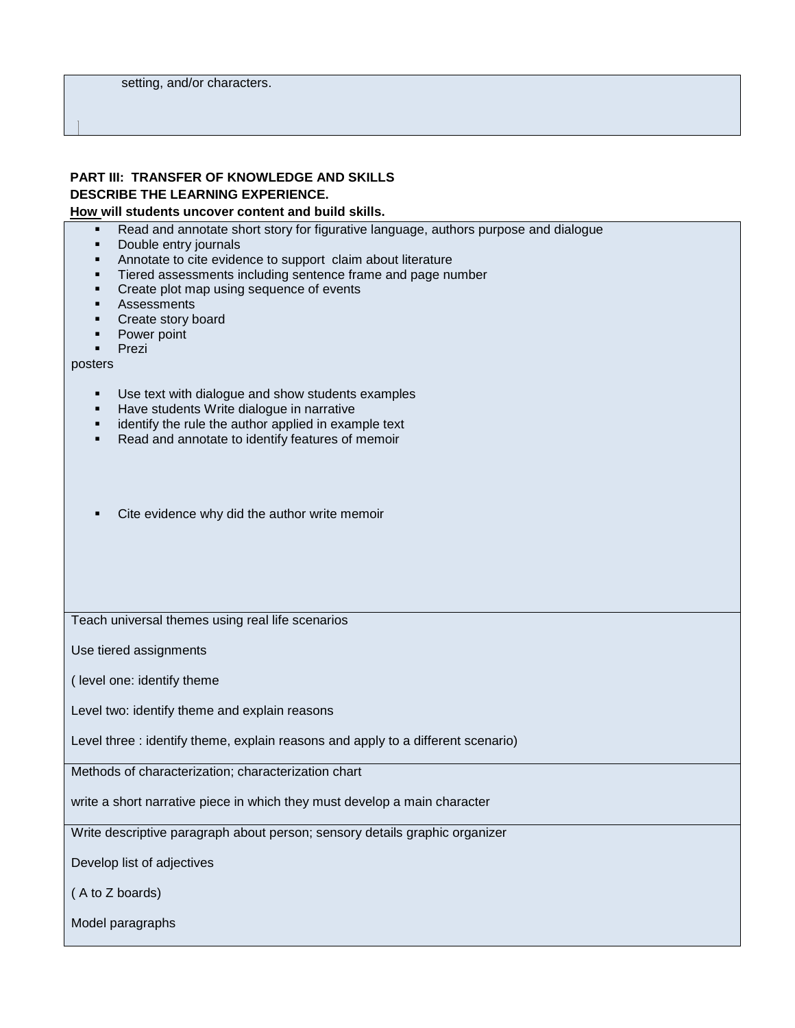## **PART III: TRANSFER OF KNOWLEDGE AND SKILLS DESCRIBE THE LEARNING EXPERIENCE.**

#### **How will students uncover content and build skills.**

- Read and annotate short story for figurative language, authors purpose and dialogue
- **Double entry journals**
- **Annotate to cite evidence to support claim about literature**
- **Tiered assessments including sentence frame and page number**
- **•** Create plot map using sequence of events
- **Assessments**
- **Create story board**
- Power point
- **Prezi**

posters

- Use text with dialogue and show students examples
- **Have students Write dialogue in narrative**
- **EXEDENT** identify the rule the author applied in example text
- Read and annotate to identify features of memoir
- Cite evidence why did the author write memoir

Teach universal themes using real life scenarios

Use tiered assignments

( level one: identify theme

Level two: identify theme and explain reasons

Level three : identify theme, explain reasons and apply to a different scenario)

Methods of characterization; characterization chart

write a short narrative piece in which they must develop a main character

Write descriptive paragraph about person; sensory details graphic organizer

Develop list of adjectives

( A to Z boards)

Model paragraphs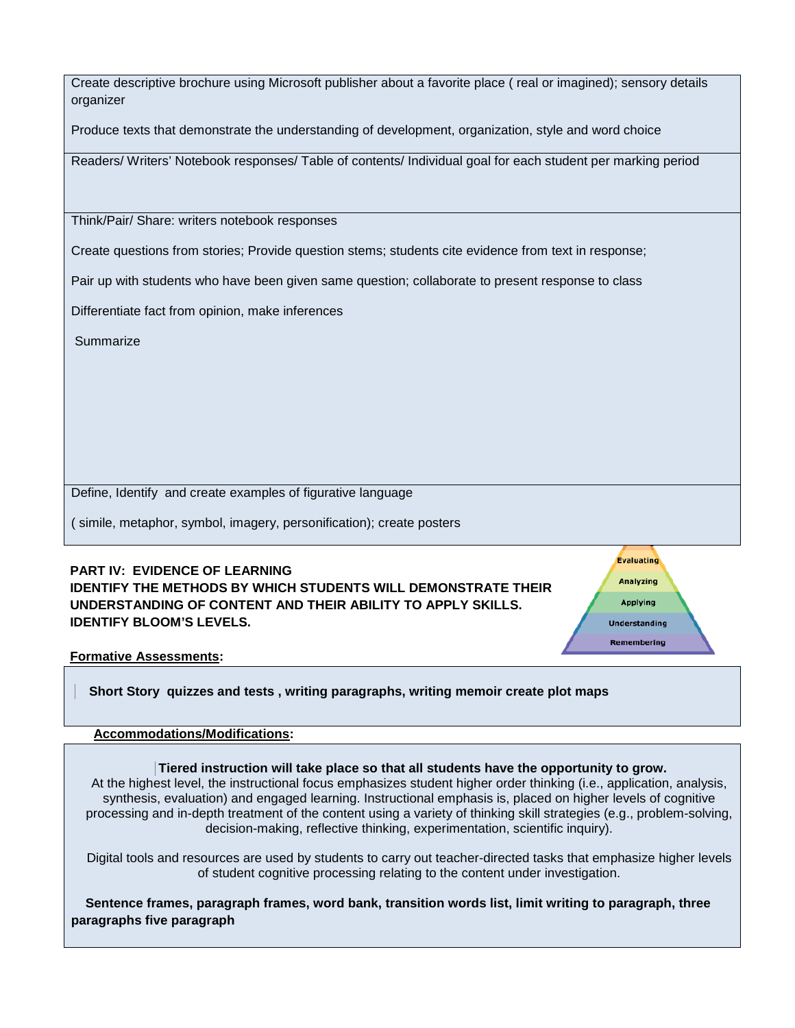| Create descriptive brochure using Microsoft publisher about a favorite place (real or imagined); sensory details |  |
|------------------------------------------------------------------------------------------------------------------|--|
| organizer                                                                                                        |  |

Produce texts that demonstrate the understanding of development, organization, style and word choice

Readers/ Writers' Notebook responses/ Table of contents/ Individual goal for each student per marking period

Think/Pair/ Share: writers notebook responses

Create questions from stories; Provide question stems; students cite evidence from text in response;

Pair up with students who have been given same question; collaborate to present response to class

Differentiate fact from opinion, make inferences

Summarize

Define, Identify and create examples of figurative language

( simile, metaphor, symbol, imagery, personification); create posters

## **PART IV: EVIDENCE OF LEARNING IDENTIFY THE METHODS BY WHICH STUDENTS WILL DEMONSTRATE THEIR UNDERSTANDING OF CONTENT AND THEIR ABILITY TO APPLY SKILLS. IDENTIFY BLOOM'S LEVELS.**

**Evaluating Analyzing Applying Understanding** Remembering

**Formative Assessments:**

 **Short Story quizzes and tests , writing paragraphs, writing memoir create plot maps** 

#### **Accommodations/Modifications:**

**Tiered instruction will take place so that all students have the opportunity to grow.** At the highest level, the instructional focus emphasizes student higher order thinking (i.e., application, analysis, synthesis, evaluation) and engaged learning. Instructional emphasis is, placed on higher levels of cognitive processing and in-depth treatment of the content using a variety of thinking skill strategies (e.g., problem-solving, decision-making, reflective thinking, experimentation, scientific inquiry).

Digital tools and resources are used by students to carry out teacher-directed tasks that emphasize higher levels of student cognitive processing relating to the content under investigation.

 **Sentence frames, paragraph frames, word bank, transition words list, limit writing to paragraph, three paragraphs five paragraph**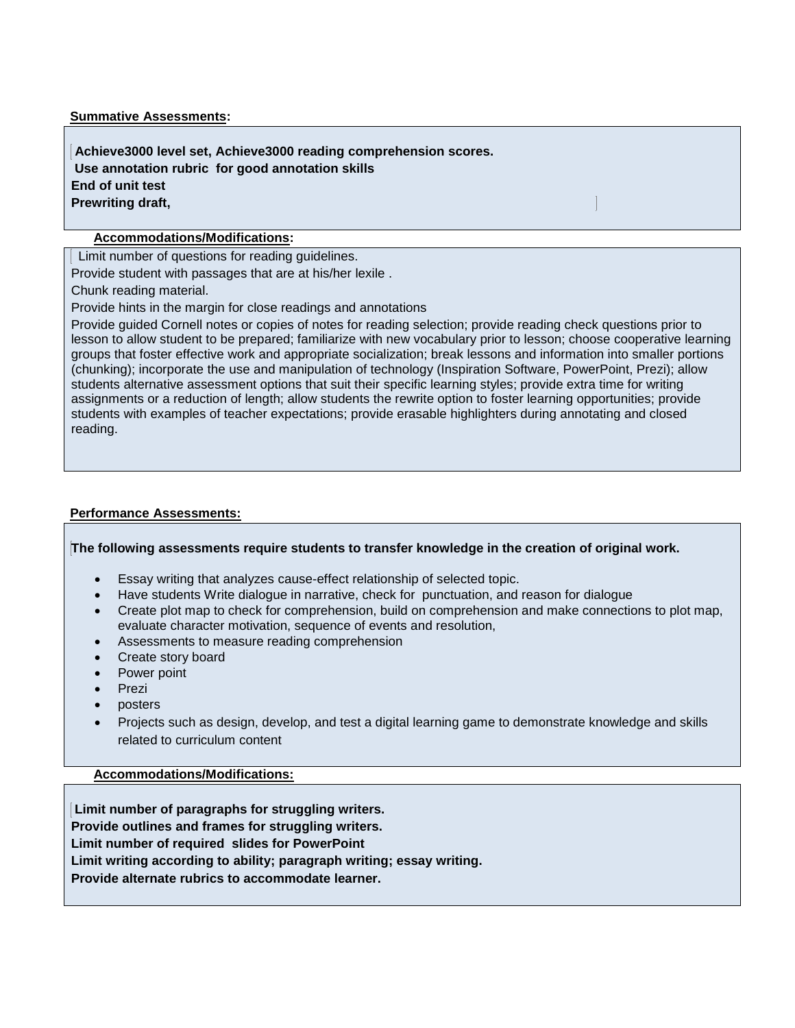#### **Summative Assessments:**

**Achieve3000 level set, Achieve3000 reading comprehension scores. Use annotation rubric for good annotation skills End of unit test Prewriting draft,** 

## **Accommodations/Modifications:**

Limit number of questions for reading guidelines.

Provide student with passages that are at his/her lexile .

Chunk reading material.

Provide hints in the margin for close readings and annotations

Provide guided Cornell notes or copies of notes for reading selection; provide reading check questions prior to lesson to allow student to be prepared; familiarize with new vocabulary prior to lesson; choose cooperative learning groups that foster effective work and appropriate socialization; break lessons and information into smaller portions (chunking); incorporate the use and manipulation of technology (Inspiration Software, PowerPoint, Prezi); allow students alternative assessment options that suit their specific learning styles; provide extra time for writing assignments or a reduction of length; allow students the rewrite option to foster learning opportunities; provide students with examples of teacher expectations; provide erasable highlighters during annotating and closed reading.

## **Performance Assessments:**

### **The following assessments require students to transfer knowledge in the creation of original work.**

- Essay writing that analyzes cause-effect relationship of selected topic.
- Have students Write dialogue in narrative, check for punctuation, and reason for dialogue
- Create plot map to check for comprehension, build on comprehension and make connections to plot map, evaluate character motivation, sequence of events and resolution,
- Assessments to measure reading comprehension
- Create story board
- Power point
- Prezi
- posters
- Projects such as design, develop, and test a digital learning game to demonstrate knowledge and skills related to curriculum content

**Accommodations/Modifications:**

**Limit number of paragraphs for struggling writers. Provide outlines and frames for struggling writers. Limit number of required slides for PowerPoint Limit writing according to ability; paragraph writing; essay writing. Provide alternate rubrics to accommodate learner.**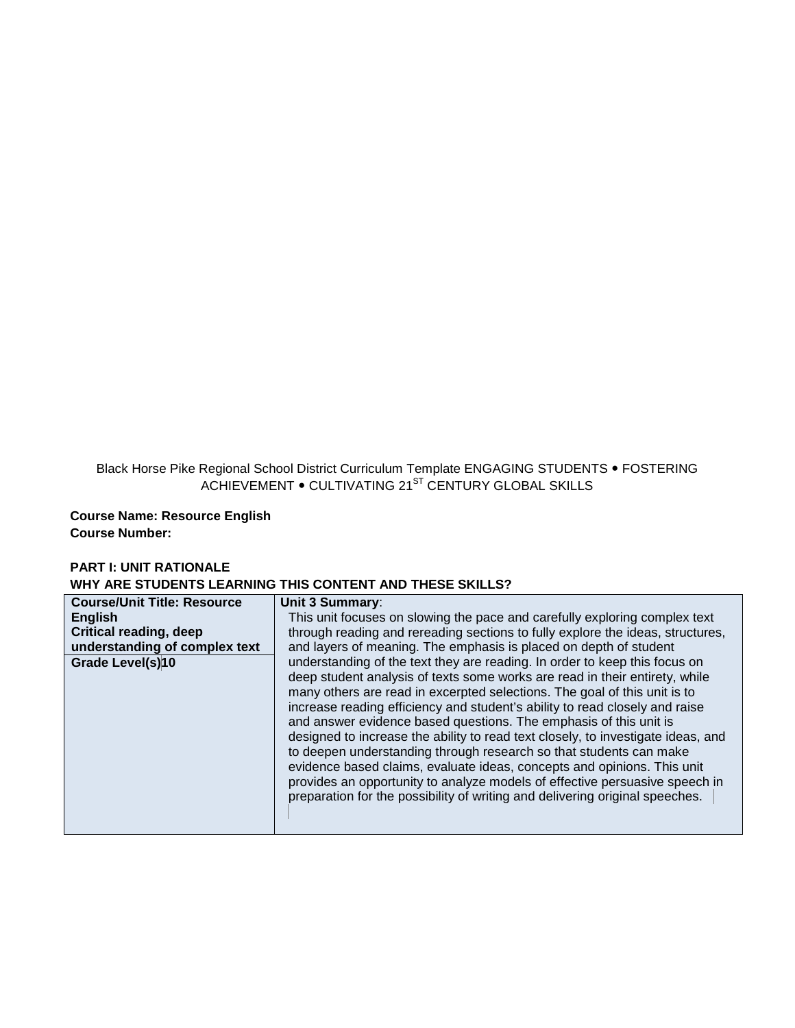Black Horse Pike Regional School District Curriculum Template ENGAGING STUDENTS • FOSTERING ACHIEVEMENT  $\bullet$  CULTIVATING 21<sup>ST</sup> CENTURY GLOBAL SKILLS

**Course Name: Resource English Course Number:**

## **PART I: UNIT RATIONALE WHY ARE STUDENTS LEARNING THIS CONTENT AND THESE SKILLS?**

| <b>Course/Unit Title: Resource</b> | Unit 3 Summary:                                                                                                                                                                                                                                                                                                                                                                                                                                                                                                                                                                                                                                                                                                                                                                                |
|------------------------------------|------------------------------------------------------------------------------------------------------------------------------------------------------------------------------------------------------------------------------------------------------------------------------------------------------------------------------------------------------------------------------------------------------------------------------------------------------------------------------------------------------------------------------------------------------------------------------------------------------------------------------------------------------------------------------------------------------------------------------------------------------------------------------------------------|
| <b>English</b>                     | This unit focuses on slowing the pace and carefully exploring complex text                                                                                                                                                                                                                                                                                                                                                                                                                                                                                                                                                                                                                                                                                                                     |
| <b>Critical reading, deep</b>      | through reading and rereading sections to fully explore the ideas, structures,                                                                                                                                                                                                                                                                                                                                                                                                                                                                                                                                                                                                                                                                                                                 |
| understanding of complex text      | and layers of meaning. The emphasis is placed on depth of student                                                                                                                                                                                                                                                                                                                                                                                                                                                                                                                                                                                                                                                                                                                              |
| Grade Level(s)10                   | understanding of the text they are reading. In order to keep this focus on<br>deep student analysis of texts some works are read in their entirety, while<br>many others are read in excerpted selections. The goal of this unit is to<br>increase reading efficiency and student's ability to read closely and raise<br>and answer evidence based questions. The emphasis of this unit is<br>designed to increase the ability to read text closely, to investigate ideas, and<br>to deepen understanding through research so that students can make<br>evidence based claims, evaluate ideas, concepts and opinions. This unit<br>provides an opportunity to analyze models of effective persuasive speech in<br>preparation for the possibility of writing and delivering original speeches. |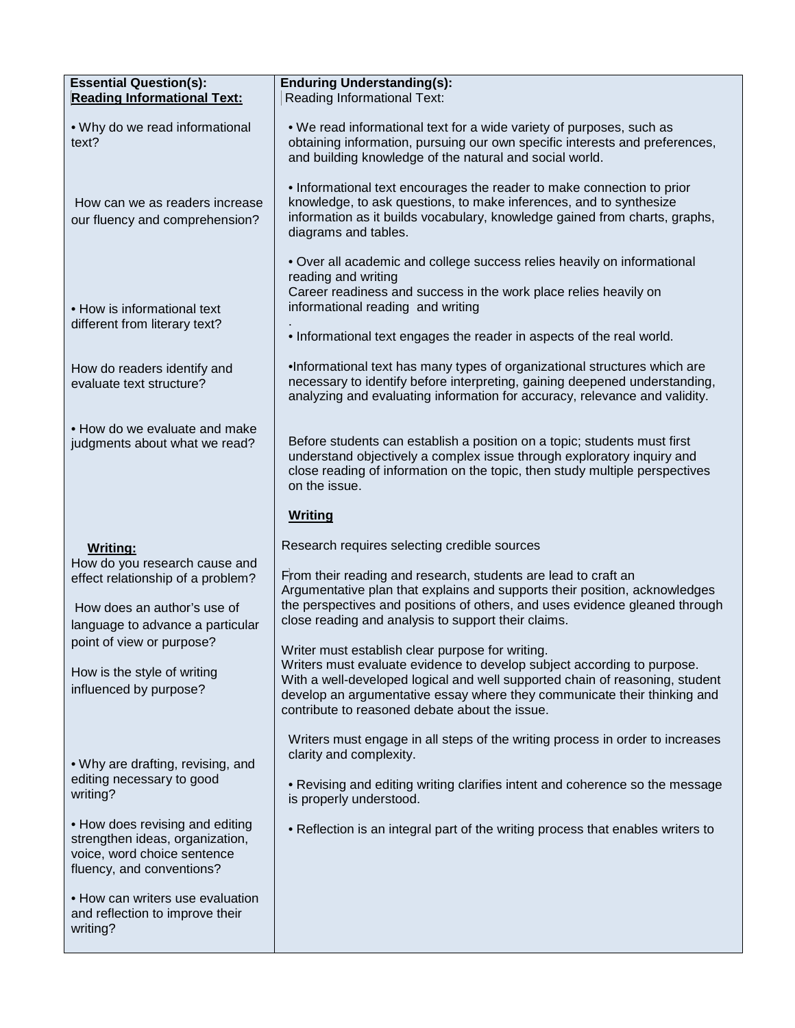| <b>Essential Question(s):</b><br><b>Reading Informational Text:</b>                                                                                      | <b>Enduring Understanding(s):</b><br>Reading Informational Text:                                                                                                                                                                                                                                                                          |
|----------------------------------------------------------------------------------------------------------------------------------------------------------|-------------------------------------------------------------------------------------------------------------------------------------------------------------------------------------------------------------------------------------------------------------------------------------------------------------------------------------------|
| . Why do we read informational<br>text?                                                                                                                  | . We read informational text for a wide variety of purposes, such as<br>obtaining information, pursuing our own specific interests and preferences,<br>and building knowledge of the natural and social world.                                                                                                                            |
| How can we as readers increase<br>our fluency and comprehension?                                                                                         | • Informational text encourages the reader to make connection to prior<br>knowledge, to ask questions, to make inferences, and to synthesize<br>information as it builds vocabulary, knowledge gained from charts, graphs,<br>diagrams and tables.                                                                                        |
| • How is informational text<br>different from literary text?                                                                                             | • Over all academic and college success relies heavily on informational<br>reading and writing<br>Career readiness and success in the work place relies heavily on<br>informational reading and writing                                                                                                                                   |
| How do readers identify and<br>evaluate text structure?                                                                                                  | . Informational text engages the reader in aspects of the real world.<br>. Informational text has many types of organizational structures which are<br>necessary to identify before interpreting, gaining deepened understanding,<br>analyzing and evaluating information for accuracy, relevance and validity.                           |
| • How do we evaluate and make<br>judgments about what we read?                                                                                           | Before students can establish a position on a topic; students must first<br>understand objectively a complex issue through exploratory inquiry and<br>close reading of information on the topic, then study multiple perspectives<br>on the issue.                                                                                        |
|                                                                                                                                                          | <b>Writing</b>                                                                                                                                                                                                                                                                                                                            |
| <b>Writing:</b><br>How do you research cause and<br>effect relationship of a problem?<br>How does an author's use of<br>language to advance a particular | Research requires selecting credible sources<br>From their reading and research, students are lead to craft an<br>Argumentative plan that explains and supports their position, acknowledges<br>the perspectives and positions of others, and uses evidence gleaned through<br>close reading and analysis to support their claims.        |
| point of view or purpose?<br>How is the style of writing<br>influenced by purpose?                                                                       | Writer must establish clear purpose for writing.<br>Writers must evaluate evidence to develop subject according to purpose.<br>With a well-developed logical and well supported chain of reasoning, student<br>develop an argumentative essay where they communicate their thinking and<br>contribute to reasoned debate about the issue. |
| • Why are drafting, revising, and<br>editing necessary to good<br>writing?                                                                               | Writers must engage in all steps of the writing process in order to increases<br>clarity and complexity.<br>• Revising and editing writing clarifies intent and coherence so the message<br>is properly understood.                                                                                                                       |
| • How does revising and editing<br>strengthen ideas, organization,<br>voice, word choice sentence<br>fluency, and conventions?                           | • Reflection is an integral part of the writing process that enables writers to                                                                                                                                                                                                                                                           |
| • How can writers use evaluation<br>and reflection to improve their<br>writing?                                                                          |                                                                                                                                                                                                                                                                                                                                           |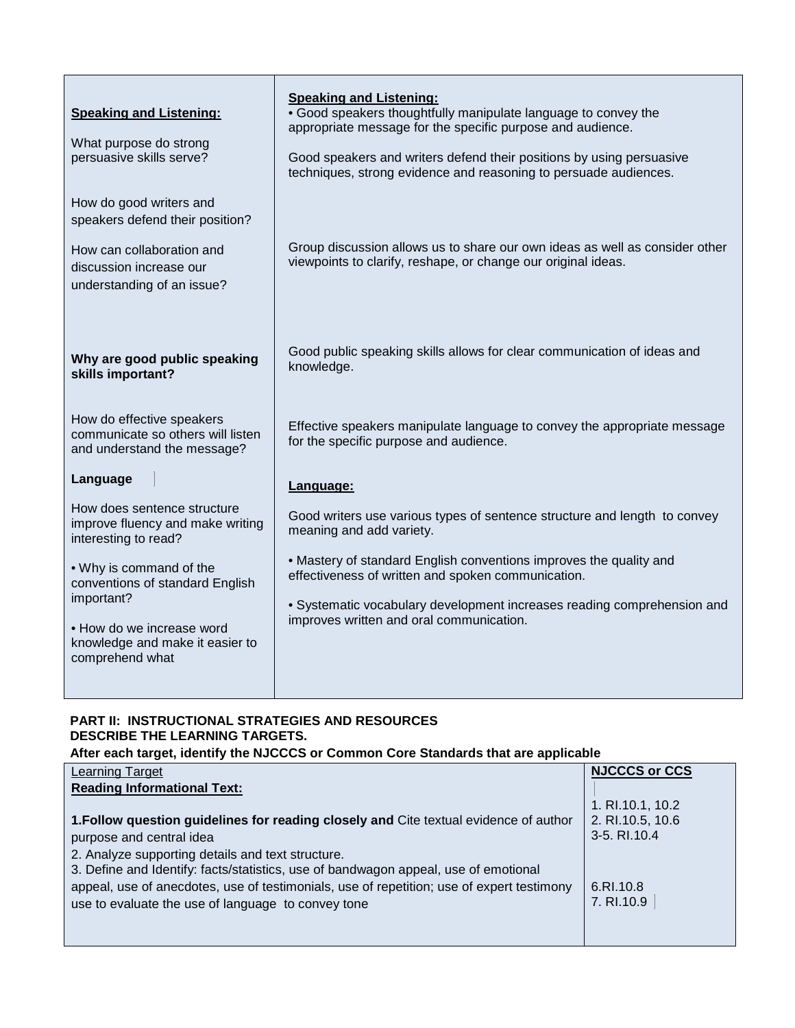| <b>Speaking and Listening:</b><br>What purpose do strong<br>persuasive skills serve?<br>How do good writers and                                             | <b>Speaking and Listening:</b><br>• Good speakers thoughtfully manipulate language to convey the<br>appropriate message for the specific purpose and audience.<br>Good speakers and writers defend their positions by using persuasive<br>techniques, strong evidence and reasoning to persuade audiences. |
|-------------------------------------------------------------------------------------------------------------------------------------------------------------|------------------------------------------------------------------------------------------------------------------------------------------------------------------------------------------------------------------------------------------------------------------------------------------------------------|
| speakers defend their position?<br>How can collaboration and<br>discussion increase our<br>understanding of an issue?                                       | Group discussion allows us to share our own ideas as well as consider other<br>viewpoints to clarify, reshape, or change our original ideas.                                                                                                                                                               |
| Why are good public speaking<br>skills important?                                                                                                           | Good public speaking skills allows for clear communication of ideas and<br>knowledge.                                                                                                                                                                                                                      |
| How do effective speakers<br>communicate so others will listen<br>and understand the message?                                                               | Effective speakers manipulate language to convey the appropriate message<br>for the specific purpose and audience.                                                                                                                                                                                         |
| Language                                                                                                                                                    | Language:                                                                                                                                                                                                                                                                                                  |
| How does sentence structure<br>improve fluency and make writing<br>interesting to read?                                                                     | Good writers use various types of sentence structure and length to convey<br>meaning and add variety.                                                                                                                                                                                                      |
| • Why is command of the<br>conventions of standard English<br>important?<br>• How do we increase word<br>knowledge and make it easier to<br>comprehend what | • Mastery of standard English conventions improves the quality and<br>effectiveness of written and spoken communication.                                                                                                                                                                                   |
|                                                                                                                                                             | · Systematic vocabulary development increases reading comprehension and<br>improves written and oral communication.                                                                                                                                                                                        |

## **PART II: INSTRUCTIONAL STRATEGIES AND RESOURCES DESCRIBE THE LEARNING TARGETS.**

**After each target, identify the NJCCCS or Common Core Standards that are applicable**

| <b>Learning Target</b>                                                                    | <b>NJCCCS or CCS</b> |
|-------------------------------------------------------------------------------------------|----------------------|
| <b>Reading Informational Text:</b>                                                        |                      |
|                                                                                           | 1. RI.10.1, 10.2     |
| 1. Follow question guidelines for reading closely and Cite textual evidence of author     | 2. RI.10.5, 10.6     |
| purpose and central idea                                                                  | 3-5. RI.10.4         |
| 2. Analyze supporting details and text structure.                                         |                      |
| 3. Define and Identify: facts/statistics, use of bandwagon appeal, use of emotional       |                      |
| appeal, use of anecdotes, use of testimonials, use of repetition; use of expert testimony | 6.RI.10.8            |
| use to evaluate the use of language to convey tone                                        | 7. RI.10.9           |
|                                                                                           |                      |
|                                                                                           |                      |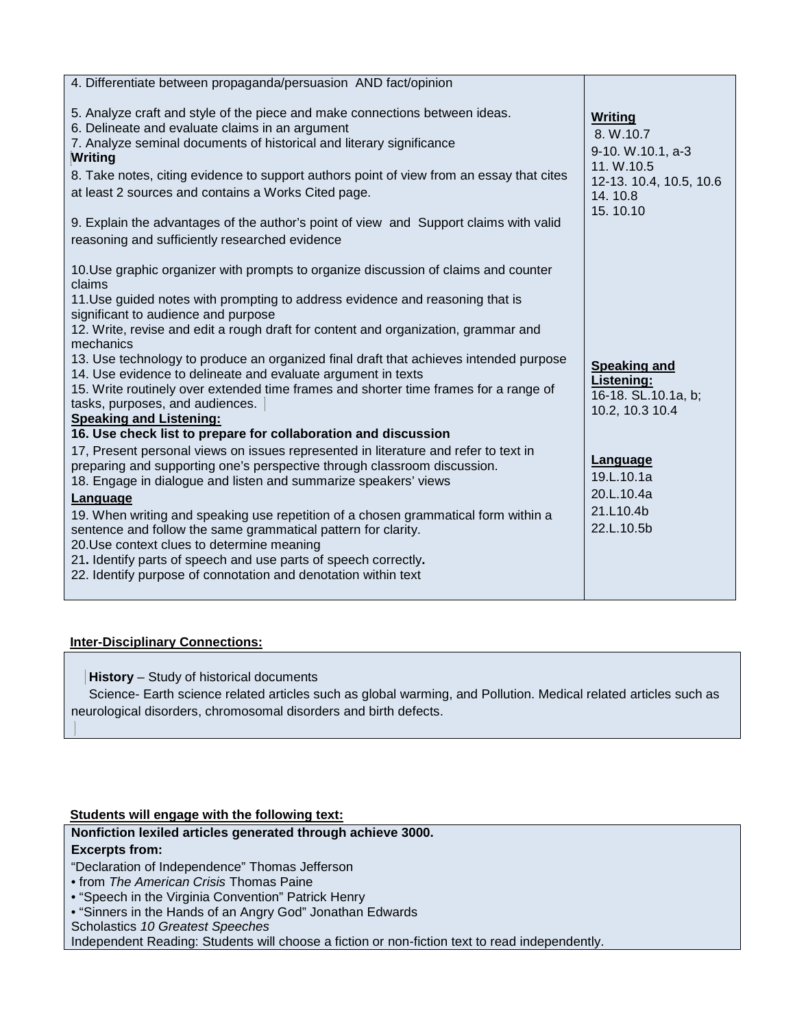| 4. Differentiate between propaganda/persuasion AND fact/opinion                                                                                                                                                                                                                                                                                                                                                                                                                                                        |                                                                                                                  |
|------------------------------------------------------------------------------------------------------------------------------------------------------------------------------------------------------------------------------------------------------------------------------------------------------------------------------------------------------------------------------------------------------------------------------------------------------------------------------------------------------------------------|------------------------------------------------------------------------------------------------------------------|
| 5. Analyze craft and style of the piece and make connections between ideas.<br>6. Delineate and evaluate claims in an argument<br>7. Analyze seminal documents of historical and literary significance<br><b>Writing</b><br>8. Take notes, citing evidence to support authors point of view from an essay that cites<br>at least 2 sources and contains a Works Cited page.<br>9. Explain the advantages of the author's point of view and Support claims with valid<br>reasoning and sufficiently researched evidence | <b>Writing</b><br>8. W.10.7<br>9-10. W.10.1, a-3<br>11. W.10.5<br>12-13. 10.4, 10.5, 10.6<br>14.10.8<br>15.10.10 |
| 10. Use graphic organizer with prompts to organize discussion of claims and counter<br>claims                                                                                                                                                                                                                                                                                                                                                                                                                          |                                                                                                                  |
| 11. Use guided notes with prompting to address evidence and reasoning that is<br>significant to audience and purpose<br>12. Write, revise and edit a rough draft for content and organization, grammar and<br>mechanics                                                                                                                                                                                                                                                                                                |                                                                                                                  |
| 13. Use technology to produce an organized final draft that achieves intended purpose<br>14. Use evidence to delineate and evaluate argument in texts<br>15. Write routinely over extended time frames and shorter time frames for a range of<br>tasks, purposes, and audiences.<br><b>Speaking and Listening:</b>                                                                                                                                                                                                     | <b>Speaking and</b><br>Listening:<br>16-18. SL.10.1a, b;<br>10.2, 10.3 10.4                                      |
| 16. Use check list to prepare for collaboration and discussion                                                                                                                                                                                                                                                                                                                                                                                                                                                         |                                                                                                                  |
| 17, Present personal views on issues represented in literature and refer to text in<br>preparing and supporting one's perspective through classroom discussion.<br>18. Engage in dialogue and listen and summarize speakers' views<br>Language                                                                                                                                                                                                                                                                         | Language<br>19.L.10.1a<br>20.L.10.4a<br>21.L10.4b                                                                |
| 19. When writing and speaking use repetition of a chosen grammatical form within a<br>sentence and follow the same grammatical pattern for clarity.<br>20. Use context clues to determine meaning<br>21. Identify parts of speech and use parts of speech correctly.<br>22. Identify purpose of connotation and denotation within text                                                                                                                                                                                 | 22.L.10.5b                                                                                                       |
|                                                                                                                                                                                                                                                                                                                                                                                                                                                                                                                        |                                                                                                                  |

## **Inter-Disciplinary Connections:**

 **History** – Study of historical documents

 Science- Earth science related articles such as global warming, and Pollution. Medical related articles such as neurological disorders, chromosomal disorders and birth defects.

## **Students will engage with the following text:**

## **Nonfiction lexiled articles generated through achieve 3000.**

#### **Excerpts from:**

"Declaration of Independence" Thomas Jefferson

- from *The American Crisis* Thomas Paine
- "Speech in the Virginia Convention" Patrick Henry
- "Sinners in the Hands of an Angry God" Jonathan Edwards

Scholastics *10 Greatest Speeches*

Independent Reading: Students will choose a fiction or non-fiction text to read independently.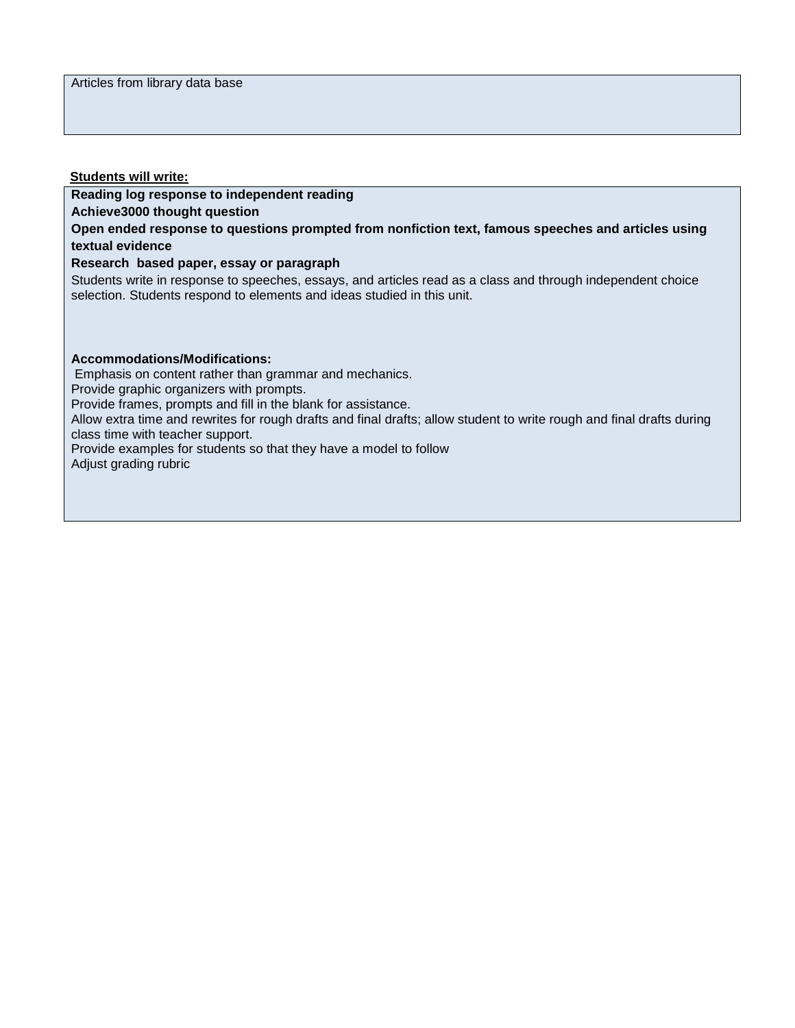#### **Students will write:**

## **Reading log response to independent reading**

**Achieve3000 thought question**

**Open ended response to questions prompted from nonfiction text, famous speeches and articles using textual evidence**

## **Research based paper, essay or paragraph**

Students write in response to speeches, essays, and articles read as a class and through independent choice selection. Students respond to elements and ideas studied in this unit.

#### **Accommodations/Modifications:**

Emphasis on content rather than grammar and mechanics.

Provide graphic organizers with prompts.

Provide frames, prompts and fill in the blank for assistance.

Allow extra time and rewrites for rough drafts and final drafts; allow student to write rough and final drafts during class time with teacher support.

Provide examples for students so that they have a model to follow Adjust grading rubric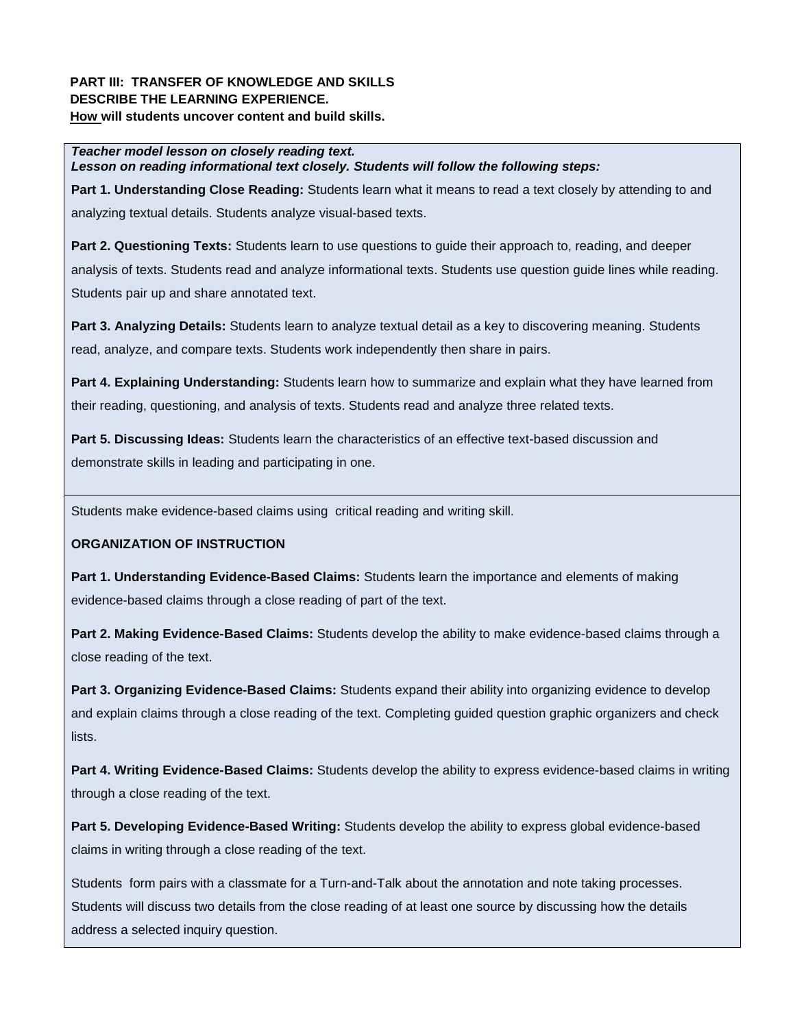## **PART III: TRANSFER OF KNOWLEDGE AND SKILLS DESCRIBE THE LEARNING EXPERIENCE. How will students uncover content and build skills.**

*Teacher model lesson on closely reading text. Lesson on reading informational text closely. Students will follow the following steps:*

**Part 1. Understanding Close Reading:** Students learn what it means to read a text closely by attending to and analyzing textual details. Students analyze visual-based texts.

**Part 2. Questioning Texts:** Students learn to use questions to guide their approach to, reading, and deeper analysis of texts. Students read and analyze informational texts. Students use question guide lines while reading. Students pair up and share annotated text.

**Part 3. Analyzing Details:** Students learn to analyze textual detail as a key to discovering meaning. Students read, analyze, and compare texts. Students work independently then share in pairs.

**Part 4. Explaining Understanding:** Students learn how to summarize and explain what they have learned from their reading, questioning, and analysis of texts. Students read and analyze three related texts.

**Part 5. Discussing Ideas:** Students learn the characteristics of an effective text-based discussion and demonstrate skills in leading and participating in one.

Students make evidence-based claims using critical reading and writing skill.

## **ORGANIZATION OF INSTRUCTION**

**Part 1. Understanding Evidence-Based Claims:** Students learn the importance and elements of making evidence-based claims through a close reading of part of the text.

**Part 2. Making Evidence-Based Claims:** Students develop the ability to make evidence-based claims through a close reading of the text.

**Part 3. Organizing Evidence-Based Claims:** Students expand their ability into organizing evidence to develop and explain claims through a close reading of the text. Completing guided question graphic organizers and check lists.

**Part 4. Writing Evidence-Based Claims:** Students develop the ability to express evidence-based claims in writing through a close reading of the text.

**Part 5. Developing Evidence-Based Writing:** Students develop the ability to express global evidence-based claims in writing through a close reading of the text.

Students form pairs with a classmate for a Turn-and-Talk about the annotation and note taking processes. Students will discuss two details from the close reading of at least one source by discussing how the details address a selected inquiry question.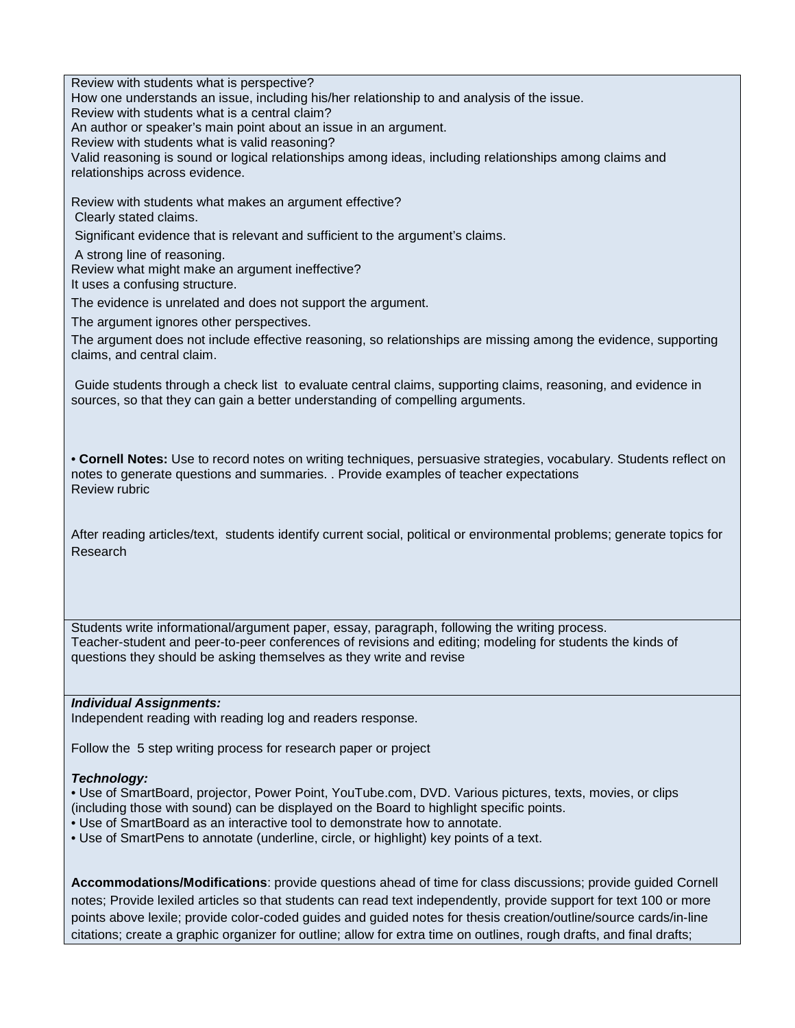Review with students what is perspective? How one understands an issue, including his/her relationship to and analysis of the issue. Review with students what is a central claim? An author or speaker's main point about an issue in an argument. Review with students what is valid reasoning? Valid reasoning is sound or logical relationships among ideas, including relationships among claims and relationships across evidence. Review with students what makes an argument effective? Clearly stated claims. Significant evidence that is relevant and sufficient to the argument's claims. A strong line of reasoning. Review what might make an argument ineffective? It uses a confusing structure. The evidence is unrelated and does not support the argument. The argument ignores other perspectives. The argument does not include effective reasoning, so relationships are missing among the evidence, supporting claims, and central claim. Guide students through a check list to evaluate central claims, supporting claims, reasoning, and evidence in sources, so that they can gain a better understanding of compelling arguments. • **Cornell Notes:** Use to record notes on writing techniques, persuasive strategies, vocabulary. Students reflect on notes to generate questions and summaries. . Provide examples of teacher expectations Review rubric After reading articles/text, students identify current social, political or environmental problems; generate topics for Research Students write informational/argument paper, essay, paragraph, following the writing process. Teacher-student and peer-to-peer conferences of revisions and editing; modeling for students the kinds of questions they should be asking themselves as they write and revise *Individual Assignments:* 

Independent reading with reading log and readers response.

Follow the 5 step writing process for research paper or project

## *Technology:*

• Use of SmartBoard, projector, Power Point, YouTube.com, DVD. Various pictures, texts, movies, or clips (including those with sound) can be displayed on the Board to highlight specific points.

• Use of SmartBoard as an interactive tool to demonstrate how to annotate.

• Use of SmartPens to annotate (underline, circle, or highlight) key points of a text.

**Accommodations/Modifications**: provide questions ahead of time for class discussions; provide guided Cornell notes; Provide lexiled articles so that students can read text independently, provide support for text 100 or more points above lexile; provide color-coded guides and guided notes for thesis creation/outline/source cards/in-line citations; create a graphic organizer for outline; allow for extra time on outlines, rough drafts, and final drafts;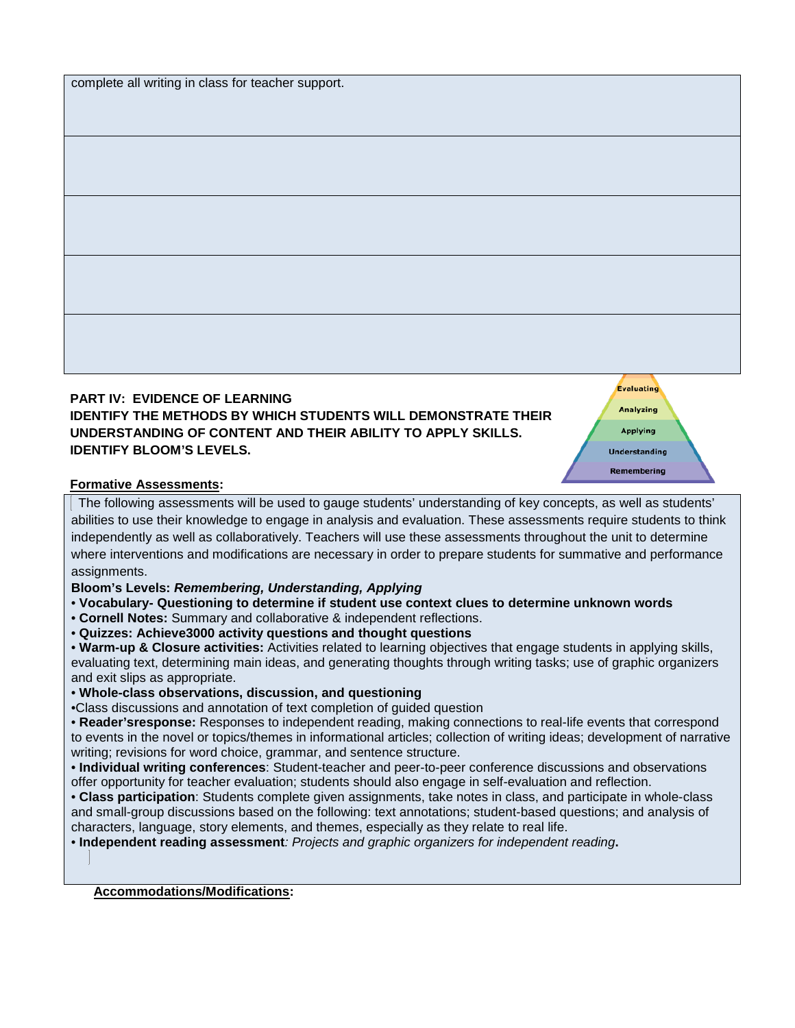| complete all writing in class for teacher support. |  |  |  |  |
|----------------------------------------------------|--|--|--|--|
|                                                    |  |  |  |  |



**PART IV: EVIDENCE OF LEARNING IDENTIFY THE METHODS BY WHICH STUDENTS WILL DEMONSTRATE THEIR UNDERSTANDING OF CONTENT AND THEIR ABILITY TO APPLY SKILLS. IDENTIFY BLOOM'S LEVELS.** 

**Evaluating** Analyzing **Applying Understanding** Remembering

#### **Formative Assessments:**

The following assessments will be used to gauge students' understanding of key concepts, as well as students' abilities to use their knowledge to engage in analysis and evaluation. These assessments require students to think independently as well as collaboratively. Teachers will use these assessments throughout the unit to determine where interventions and modifications are necessary in order to prepare students for summative and performance assignments.

**Bloom's Levels:** *Remembering, Understanding, Applying* 

- **Vocabulary- Questioning to determine if student use context clues to determine unknown words**
- **Cornell Notes:** Summary and collaborative & independent reflections.
- **Quizzes: Achieve3000 activity questions and thought questions**

• **Warm-up & Closure activities:** Activities related to learning objectives that engage students in applying skills, evaluating text, determining main ideas, and generating thoughts through writing tasks; use of graphic organizers and exit slips as appropriate.

• **Whole-class observations, discussion, and questioning** 

•Class discussions and annotation of text completion of guided question

• **Reader'sresponse:** Responses to independent reading, making connections to real-life events that correspond to events in the novel or topics/themes in informational articles; collection of writing ideas; development of narrative writing; revisions for word choice, grammar, and sentence structure.

• **Individual writing conferences**: Student-teacher and peer-to-peer conference discussions and observations offer opportunity for teacher evaluation; students should also engage in self-evaluation and reflection.

• **Class participation**: Students complete given assignments, take notes in class, and participate in whole-class and small-group discussions based on the following: text annotations; student-based questions; and analysis of characters, language, story elements, and themes, especially as they relate to real life.

• **Independent reading assessment***: Projects and graphic organizers for independent reading***.** 

**Accommodations/Modifications:**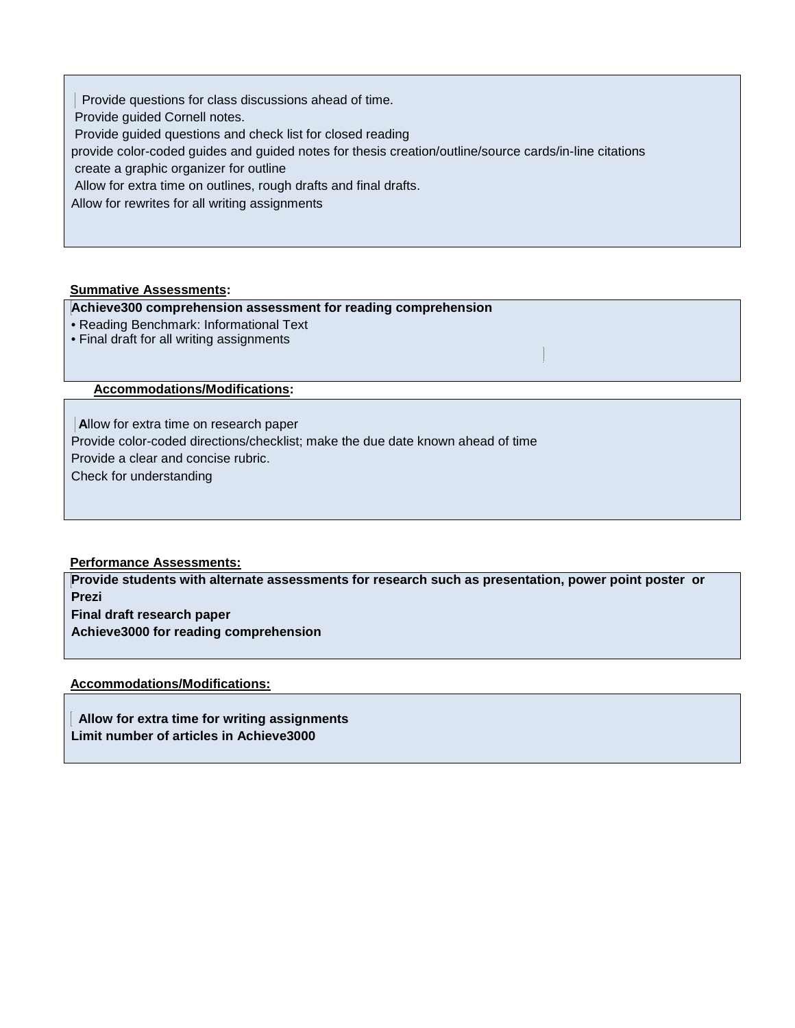Provide questions for class discussions ahead of time. Provide guided Cornell notes. Provide guided questions and check list for closed reading provide color-coded guides and guided notes for thesis creation/outline/source cards/in-line citations create a graphic organizer for outline Allow for extra time on outlines, rough drafts and final drafts. Allow for rewrites for all writing assignments

## **Summative Assessments:**

## **Achieve300 comprehension assessment for reading comprehension**

- Reading Benchmark: Informational Text
- Final draft for all writing assignments

**Accommodations/Modifications:**

**A**llow for extra time on research paper

Provide color-coded directions/checklist; make the due date known ahead of time

Provide a clear and concise rubric.

Check for understanding

#### **Performance Assessments:**

**Provide students with alternate assessments for research such as presentation, power point poster or Prezi Final draft research paper Achieve3000 for reading comprehension** 

**Accommodations/Modifications:**

 **Allow for extra time for writing assignments Limit number of articles in Achieve3000**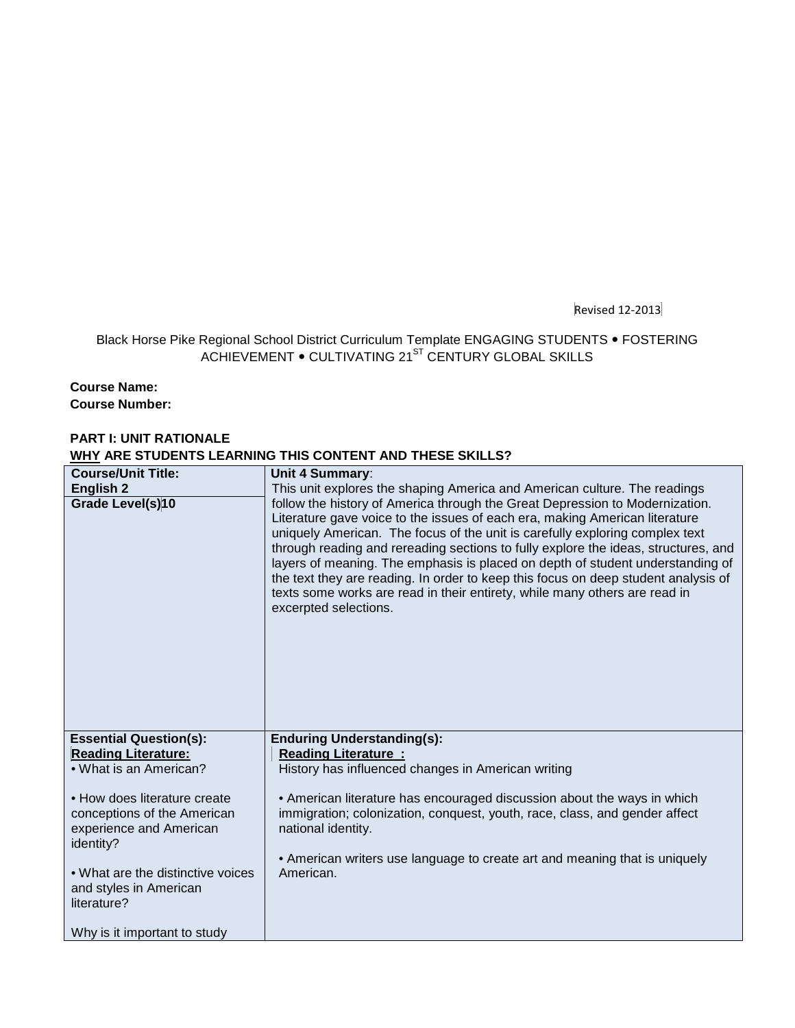Revised 12-2013

## Black Horse Pike Regional School District Curriculum Template ENGAGING STUDENTS • FOSTERING ACHIEVEMENT  $\bullet$  CULTIVATING 21<sup>ST</sup> CENTURY GLOBAL SKILLS

## **Course Name:**

**Course Number:**

## **PART I: UNIT RATIONALE WHY ARE STUDENTS LEARNING THIS CONTENT AND THESE SKILLS?**

| <b>Course/Unit Title:</b>         | <b>Unit 4 Summary:</b>                                                                                                                                                                                                                                                                                                                                                                                                                                                                                                                                                                                           |
|-----------------------------------|------------------------------------------------------------------------------------------------------------------------------------------------------------------------------------------------------------------------------------------------------------------------------------------------------------------------------------------------------------------------------------------------------------------------------------------------------------------------------------------------------------------------------------------------------------------------------------------------------------------|
| <b>English 2</b>                  | This unit explores the shaping America and American culture. The readings                                                                                                                                                                                                                                                                                                                                                                                                                                                                                                                                        |
| Grade Level(s)10                  | follow the history of America through the Great Depression to Modernization.<br>Literature gave voice to the issues of each era, making American literature<br>uniquely American. The focus of the unit is carefully exploring complex text<br>through reading and rereading sections to fully explore the ideas, structures, and<br>layers of meaning. The emphasis is placed on depth of student understanding of<br>the text they are reading. In order to keep this focus on deep student analysis of<br>texts some works are read in their entirety, while many others are read in<br>excerpted selections. |
| <b>Essential Question(s):</b>     | <b>Enduring Understanding(s):</b>                                                                                                                                                                                                                                                                                                                                                                                                                                                                                                                                                                                |
| <b>Reading Literature:</b>        | <b>Reading Literature:</b>                                                                                                                                                                                                                                                                                                                                                                                                                                                                                                                                                                                       |
| . What is an American?            | History has influenced changes in American writing                                                                                                                                                                                                                                                                                                                                                                                                                                                                                                                                                               |
|                                   |                                                                                                                                                                                                                                                                                                                                                                                                                                                                                                                                                                                                                  |
| • How does literature create      | • American literature has encouraged discussion about the ways in which                                                                                                                                                                                                                                                                                                                                                                                                                                                                                                                                          |
| conceptions of the American       | immigration; colonization, conquest, youth, race, class, and gender affect                                                                                                                                                                                                                                                                                                                                                                                                                                                                                                                                       |
| experience and American           | national identity.                                                                                                                                                                                                                                                                                                                                                                                                                                                                                                                                                                                               |
| identity?                         |                                                                                                                                                                                                                                                                                                                                                                                                                                                                                                                                                                                                                  |
| • What are the distinctive voices | • American writers use language to create art and meaning that is uniquely                                                                                                                                                                                                                                                                                                                                                                                                                                                                                                                                       |
| and styles in American            | American.                                                                                                                                                                                                                                                                                                                                                                                                                                                                                                                                                                                                        |
| literature?                       |                                                                                                                                                                                                                                                                                                                                                                                                                                                                                                                                                                                                                  |
|                                   |                                                                                                                                                                                                                                                                                                                                                                                                                                                                                                                                                                                                                  |
| Why is it important to study      |                                                                                                                                                                                                                                                                                                                                                                                                                                                                                                                                                                                                                  |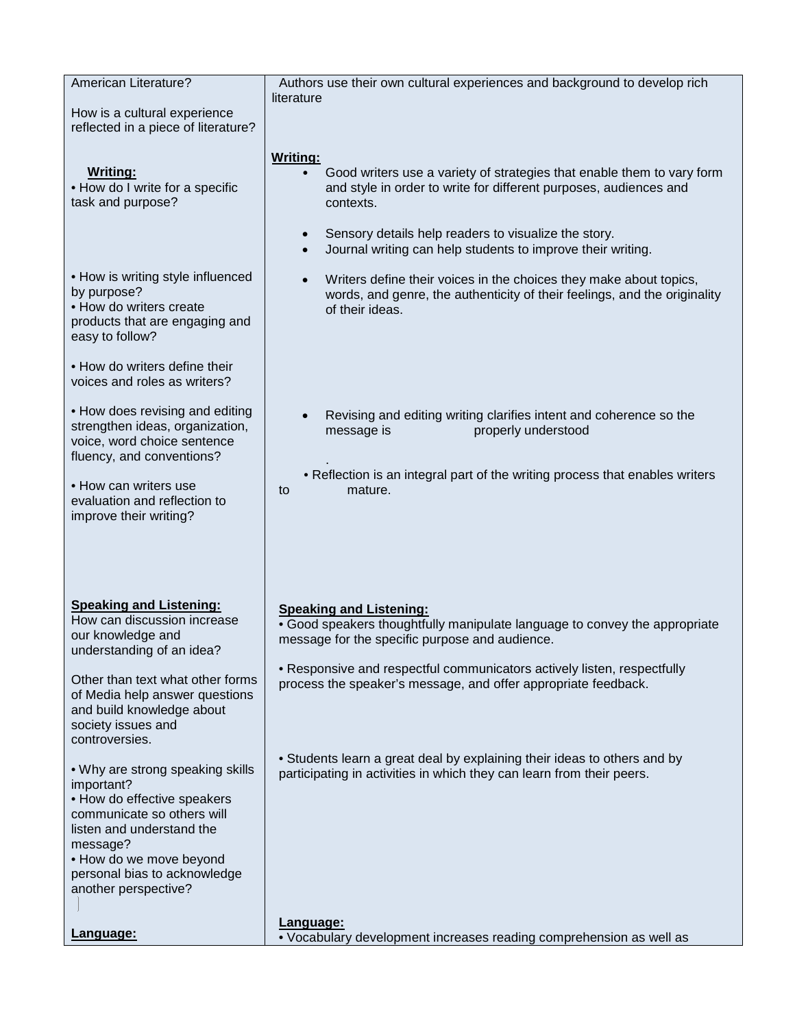| American Literature?                                                                                                                                                                                                                    | Authors use their own cultural experiences and background to develop rich                                                                                                                                                                                                                                                    |
|-----------------------------------------------------------------------------------------------------------------------------------------------------------------------------------------------------------------------------------------|------------------------------------------------------------------------------------------------------------------------------------------------------------------------------------------------------------------------------------------------------------------------------------------------------------------------------|
| How is a cultural experience<br>reflected in a piece of literature?                                                                                                                                                                     | literature                                                                                                                                                                                                                                                                                                                   |
| <b>Writing:</b><br>• How do I write for a specific<br>task and purpose?                                                                                                                                                                 | <b>Writing:</b><br>Good writers use a variety of strategies that enable them to vary form<br>and style in order to write for different purposes, audiences and<br>contexts.<br>Sensory details help readers to visualize the story.<br>$\bullet$<br>Journal writing can help students to improve their writing.<br>$\bullet$ |
| • How is writing style influenced<br>by purpose?<br>• How do writers create<br>products that are engaging and<br>easy to follow?                                                                                                        | Writers define their voices in the choices they make about topics,<br>$\bullet$<br>words, and genre, the authenticity of their feelings, and the originality<br>of their ideas.                                                                                                                                              |
| • How do writers define their<br>voices and roles as writers?                                                                                                                                                                           |                                                                                                                                                                                                                                                                                                                              |
| • How does revising and editing<br>strengthen ideas, organization,<br>voice, word choice sentence<br>fluency, and conventions?                                                                                                          | Revising and editing writing clarifies intent and coherence so the<br>message is<br>properly understood                                                                                                                                                                                                                      |
| • How can writers use<br>evaluation and reflection to<br>improve their writing?                                                                                                                                                         | • Reflection is an integral part of the writing process that enables writers<br>mature.<br>to                                                                                                                                                                                                                                |
|                                                                                                                                                                                                                                         |                                                                                                                                                                                                                                                                                                                              |
| <b>Speaking and Listening:</b><br>How can discussion increase<br>our knowledge and<br>understanding of an idea?                                                                                                                         | <b>Speaking and Listening:</b><br>• Good speakers thoughtfully manipulate language to convey the appropriate<br>message for the specific purpose and audience.                                                                                                                                                               |
| Other than text what other forms<br>of Media help answer questions<br>and build knowledge about<br>society issues and<br>controversies.                                                                                                 | • Responsive and respectful communicators actively listen, respectfully<br>process the speaker's message, and offer appropriate feedback.                                                                                                                                                                                    |
| . Why are strong speaking skills<br>important?<br>• How do effective speakers<br>communicate so others will<br>listen and understand the<br>message?<br>• How do we move beyond<br>personal bias to acknowledge<br>another perspective? | • Students learn a great deal by explaining their ideas to others and by<br>participating in activities in which they can learn from their peers.                                                                                                                                                                            |
| Language:                                                                                                                                                                                                                               | Language:<br>• Vocabulary development increases reading comprehension as well as                                                                                                                                                                                                                                             |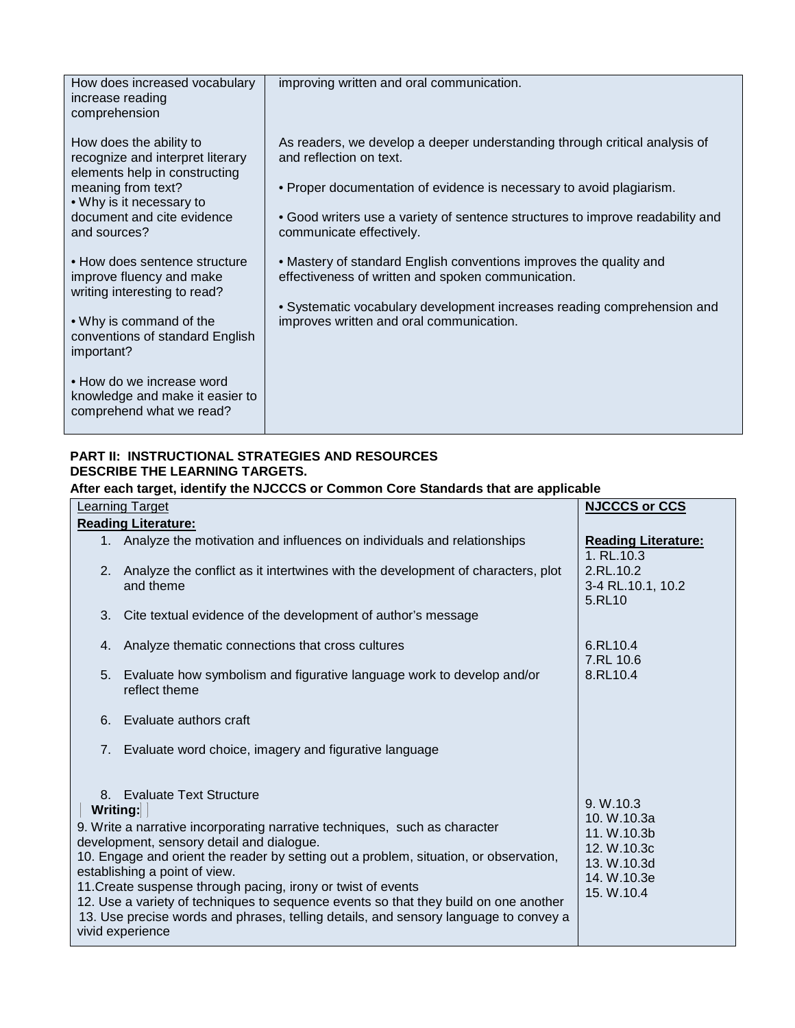| How does increased vocabulary<br>increase reading<br>comprehension                           | improving written and oral communication.                                                                                |
|----------------------------------------------------------------------------------------------|--------------------------------------------------------------------------------------------------------------------------|
| How does the ability to<br>recognize and interpret literary<br>elements help in constructing | As readers, we develop a deeper understanding through critical analysis of<br>and reflection on text.                    |
| meaning from text?<br>• Why is it necessary to                                               | • Proper documentation of evidence is necessary to avoid plagiarism.                                                     |
| document and cite evidence<br>and sources?                                                   | • Good writers use a variety of sentence structures to improve readability and<br>communicate effectively.               |
| • How does sentence structure<br>improve fluency and make<br>writing interesting to read?    | • Mastery of standard English conventions improves the quality and<br>effectiveness of written and spoken communication. |
| • Why is command of the<br>conventions of standard English<br>important?                     | • Systematic vocabulary development increases reading comprehension and<br>improves written and oral communication.      |
| • How do we increase word<br>knowledge and make it easier to<br>comprehend what we read?     |                                                                                                                          |

## **PART II: INSTRUCTIONAL STRATEGIES AND RESOURCES DESCRIBE THE LEARNING TARGETS.**

## **After each target, identify the NJCCCS or Common Core Standards that are applicable**

|               | <b>NJCCCS or CCS</b>                                                                                                                                                                                                                                                                                                                                                                                                                                                                                                                                                                                                                                                                                                                                                                                                                                                                                                                                                                                                                                                               |
|---------------|------------------------------------------------------------------------------------------------------------------------------------------------------------------------------------------------------------------------------------------------------------------------------------------------------------------------------------------------------------------------------------------------------------------------------------------------------------------------------------------------------------------------------------------------------------------------------------------------------------------------------------------------------------------------------------------------------------------------------------------------------------------------------------------------------------------------------------------------------------------------------------------------------------------------------------------------------------------------------------------------------------------------------------------------------------------------------------|
|               |                                                                                                                                                                                                                                                                                                                                                                                                                                                                                                                                                                                                                                                                                                                                                                                                                                                                                                                                                                                                                                                                                    |
|               | <b>Reading Literature:</b><br>1. RL.10.3                                                                                                                                                                                                                                                                                                                                                                                                                                                                                                                                                                                                                                                                                                                                                                                                                                                                                                                                                                                                                                           |
| and theme     | 2.RL.10.2<br>3-4 RL.10.1, 10.2<br>5.RL10                                                                                                                                                                                                                                                                                                                                                                                                                                                                                                                                                                                                                                                                                                                                                                                                                                                                                                                                                                                                                                           |
|               |                                                                                                                                                                                                                                                                                                                                                                                                                                                                                                                                                                                                                                                                                                                                                                                                                                                                                                                                                                                                                                                                                    |
|               | 6.RL10.4<br>7.RL 10.6                                                                                                                                                                                                                                                                                                                                                                                                                                                                                                                                                                                                                                                                                                                                                                                                                                                                                                                                                                                                                                                              |
| reflect theme | 8.RL10.4                                                                                                                                                                                                                                                                                                                                                                                                                                                                                                                                                                                                                                                                                                                                                                                                                                                                                                                                                                                                                                                                           |
|               |                                                                                                                                                                                                                                                                                                                                                                                                                                                                                                                                                                                                                                                                                                                                                                                                                                                                                                                                                                                                                                                                                    |
|               |                                                                                                                                                                                                                                                                                                                                                                                                                                                                                                                                                                                                                                                                                                                                                                                                                                                                                                                                                                                                                                                                                    |
|               | 9. W.10.3<br>10. W.10.3a<br>11. W.10.3b<br>12. W.10.3c<br>13. W.10.3d<br>14. W.10.3e<br>15. W.10.4                                                                                                                                                                                                                                                                                                                                                                                                                                                                                                                                                                                                                                                                                                                                                                                                                                                                                                                                                                                 |
|               | Learning Target<br><b>Reading Literature:</b><br>1. Analyze the motivation and influences on individuals and relationships<br>2. Analyze the conflict as it intertwines with the development of characters, plot<br>3. Cite textual evidence of the development of author's message<br>4. Analyze thematic connections that cross cultures<br>5. Evaluate how symbolism and figurative language work to develop and/or<br>6. Evaluate authors craft<br>7. Evaluate word choice, imagery and figurative language<br>8. Evaluate Text Structure<br>Writing:<br>9. Write a narrative incorporating narrative techniques, such as character<br>development, sensory detail and dialogue.<br>10. Engage and orient the reader by setting out a problem, situation, or observation,<br>establishing a point of view.<br>11. Create suspense through pacing, irony or twist of events<br>12. Use a variety of techniques to sequence events so that they build on one another<br>13. Use precise words and phrases, telling details, and sensory language to convey a<br>vivid experience |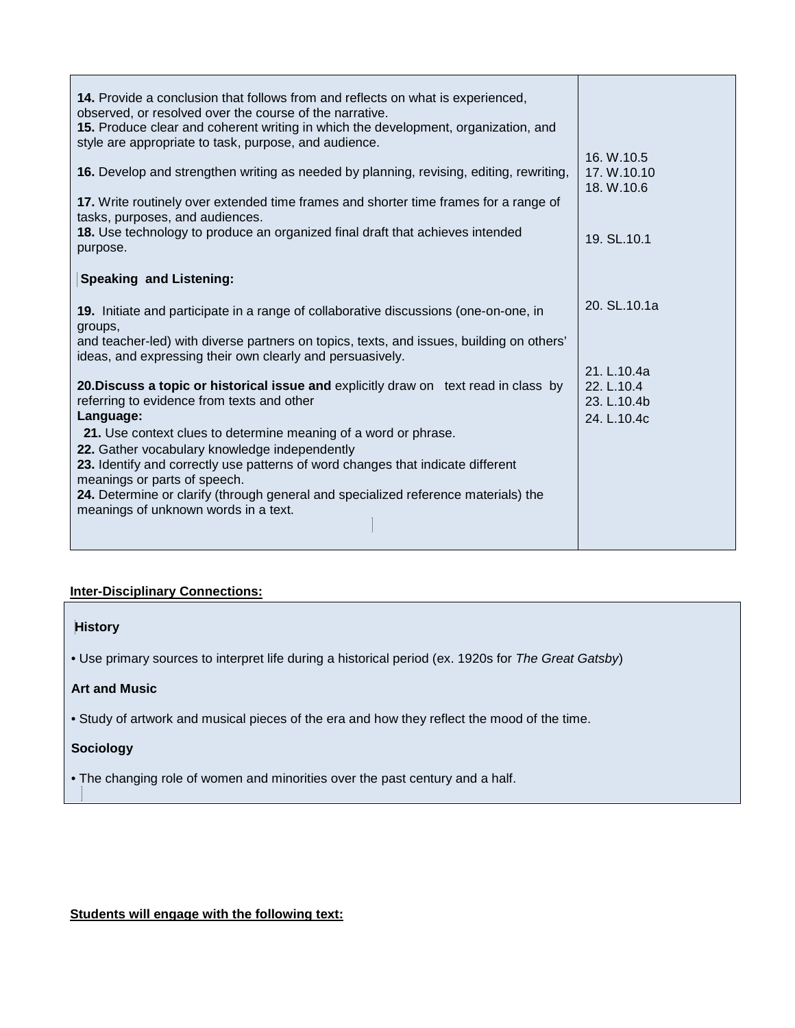| <b>14.</b> Provide a conclusion that follows from and reflects on what is experienced,<br>observed, or resolved over the course of the narrative.<br>15. Produce clear and coherent writing in which the development, organization, and<br>style are appropriate to task, purpose, and audience. |                                          |
|--------------------------------------------------------------------------------------------------------------------------------------------------------------------------------------------------------------------------------------------------------------------------------------------------|------------------------------------------|
| <b>16.</b> Develop and strengthen writing as needed by planning, revising, editing, rewriting,<br>17. Write routinely over extended time frames and shorter time frames for a range of                                                                                                           | 16. W.10.5<br>17. W.10.10<br>18. W.10.6  |
| tasks, purposes, and audiences.<br>18. Use technology to produce an organized final draft that achieves intended<br>purpose.                                                                                                                                                                     | 19. SL.10.1                              |
| <b>Speaking and Listening:</b>                                                                                                                                                                                                                                                                   |                                          |
| 19. Initiate and participate in a range of collaborative discussions (one-on-one, in<br>groups,                                                                                                                                                                                                  | 20. SL.10.1a                             |
| and teacher-led) with diverse partners on topics, texts, and issues, building on others'<br>ideas, and expressing their own clearly and persuasively.                                                                                                                                            | 21. L.10.4a                              |
| 20. Discuss a topic or historical issue and explicitly draw on text read in class by<br>referring to evidence from texts and other<br>Language:<br>21. Use context clues to determine meaning of a word or phrase.                                                                               | 22. L.10.4<br>23. L.10.4b<br>24. L.10.4c |
| 22. Gather vocabulary knowledge independently<br>23. Identify and correctly use patterns of word changes that indicate different<br>meanings or parts of speech.                                                                                                                                 |                                          |
| 24. Determine or clarify (through general and specialized reference materials) the<br>meanings of unknown words in a text.                                                                                                                                                                       |                                          |

## **Inter-Disciplinary Connections:**

## **History**

• Use primary sources to interpret life during a historical period (ex. 1920s for *The Great Gatsby*)

## **Art and Music**

• Study of artwork and musical pieces of the era and how they reflect the mood of the time.

## **Sociology**

• The changing role of women and minorities over the past century and a half.

**Students will engage with the following text:**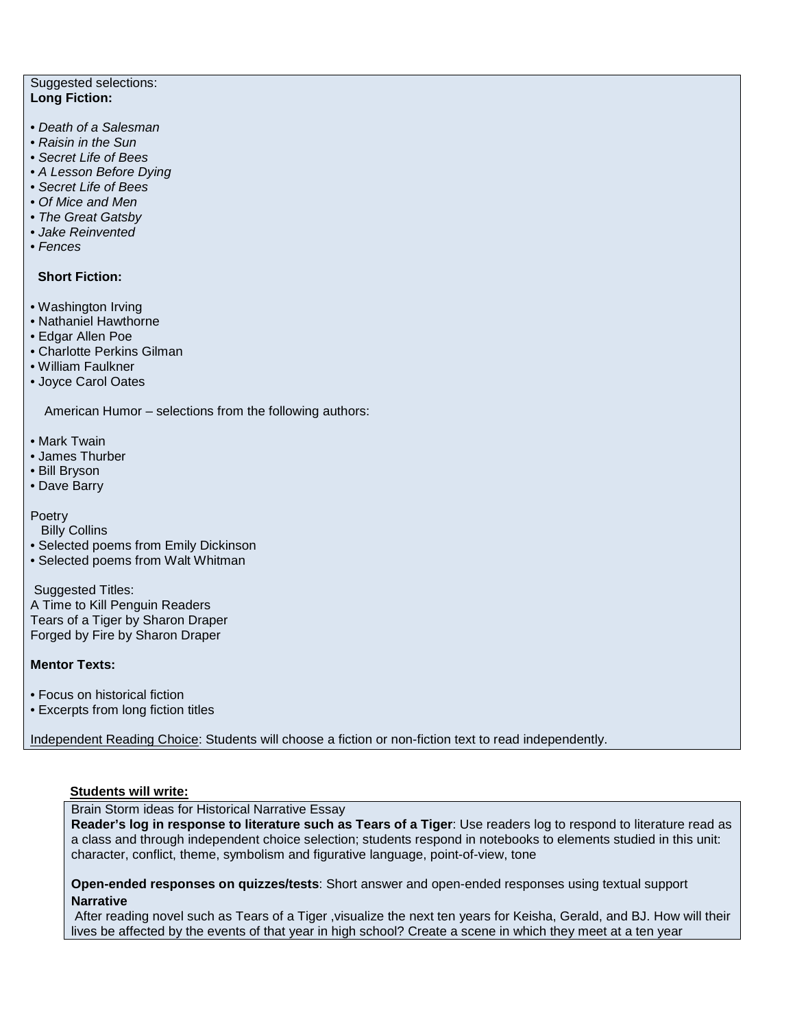#### Suggested selections: **Long Fiction:**

- *Death of a Salesman*
- *Raisin in the Sun*
- *Secret Life of Bees*
- *A Lesson Before Dying*
- *Secret Life of Bees*
- *Of Mice and Men*
- *The Great Gatsby*
- *Jake Reinvented*
- *Fences*

#### **Short Fiction:**

- Washington Irving
- Nathaniel Hawthorne
- Edgar Allen Poe
- Charlotte Perkins Gilman
- William Faulkner
- Joyce Carol Oates

American Humor – selections from the following authors:

- Mark Twain
- James Thurber
- Bill Bryson
- Dave Barry

## Poetry

Billy Collins

• Selected poems from Emily Dickinson

• Selected poems from Walt Whitman

Suggested Titles:

A Time to Kill Penguin Readers Tears of a Tiger by Sharon Draper Forged by Fire by Sharon Draper

#### **Mentor Texts:**

• Focus on historical fiction

• Excerpts from long fiction titles

Independent Reading Choice: Students will choose a fiction or non-fiction text to read independently.

## **Students will write:**

Brain Storm ideas for Historical Narrative Essay

**Reader's log in response to literature such as Tears of a Tiger**: Use readers log to respond to literature read as a class and through independent choice selection; students respond in notebooks to elements studied in this unit: character, conflict, theme, symbolism and figurative language, point-of-view, tone

**Open-ended responses on quizzes/tests**: Short answer and open-ended responses using textual support **Narrative**

After reading novel such as Tears of a Tiger ,visualize the next ten years for Keisha, Gerald, and BJ. How will their lives be affected by the events of that year in high school? Create a scene in which they meet at a ten year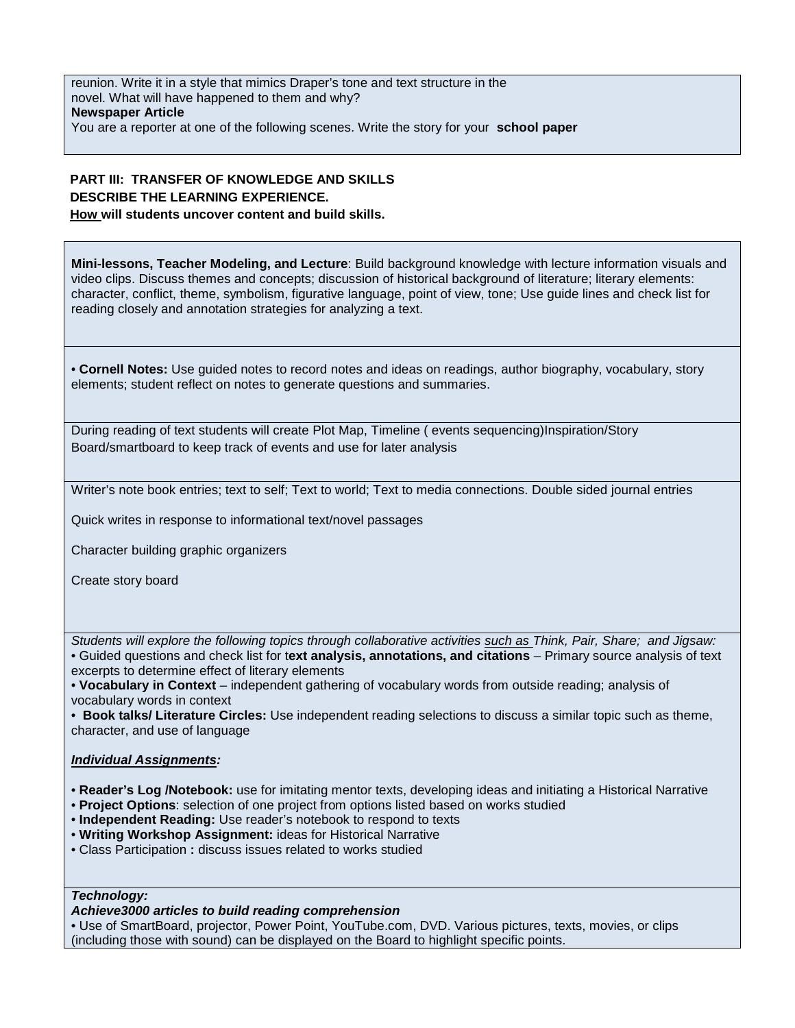reunion. Write it in a style that mimics Draper's tone and text structure in the novel. What will have happened to them and why? **Newspaper Article** You are a reporter at one of the following scenes. Write the story for your **school paper** 

## **PART III: TRANSFER OF KNOWLEDGE AND SKILLS DESCRIBE THE LEARNING EXPERIENCE. How will students uncover content and build skills.**

**Mini-lessons, Teacher Modeling, and Lecture**: Build background knowledge with lecture information visuals and video clips. Discuss themes and concepts; discussion of historical background of literature; literary elements: character, conflict, theme, symbolism, figurative language, point of view, tone; Use guide lines and check list for reading closely and annotation strategies for analyzing a text.

• **Cornell Notes:** Use guided notes to record notes and ideas on readings, author biography, vocabulary, story elements; student reflect on notes to generate questions and summaries.

During reading of text students will create Plot Map, Timeline ( events sequencing)Inspiration/Story Board/smartboard to keep track of events and use for later analysis

Writer's note book entries; text to self; Text to world; Text to media connections. Double sided journal entries

Quick writes in response to informational text/novel passages

Character building graphic organizers

Create story board

*Students will explore the following topics through collaborative activities such as Think, Pair, Share; and Jigsaw:*  • Guided questions and check list for t**ext analysis, annotations, and citations** – Primary source analysis of text excerpts to determine effect of literary elements

• **Vocabulary in Context** – independent gathering of vocabulary words from outside reading; analysis of vocabulary words in context

• **Book talks/ Literature Circles:** Use independent reading selections to discuss a similar topic such as theme, character, and use of language

#### *Individual Assignments:*

- **Reader's Log /Notebook:** use for imitating mentor texts, developing ideas and initiating a Historical Narrative
- **Project Options**: selection of one project from options listed based on works studied
- **Independent Reading:** Use reader's notebook to respond to texts
- **Writing Workshop Assignment:** ideas for Historical Narrative
- Class Participation **:** discuss issues related to works studied

#### *Technology:*

#### *Achieve3000 articles to build reading comprehension*

• Use of SmartBoard, projector, Power Point, YouTube.com, DVD. Various pictures, texts, movies, or clips (including those with sound) can be displayed on the Board to highlight specific points.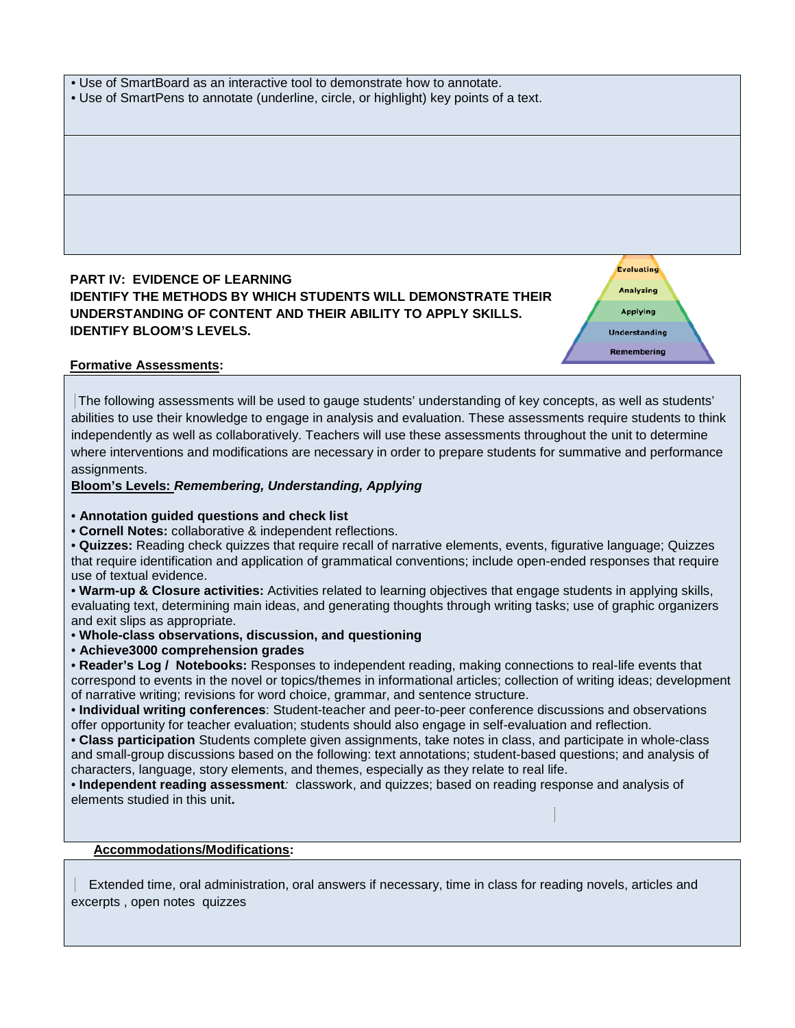#### • Use of SmartBoard as an interactive tool to demonstrate how to annotate.

• Use of SmartPens to annotate (underline, circle, or highlight) key points of a text.

## **PART IV: EVIDENCE OF LEARNING IDENTIFY THE METHODS BY WHICH STUDENTS WILL DEMONSTRATE THEIR UNDERSTANDING OF CONTENT AND THEIR ABILITY TO APPLY SKILLS. IDENTIFY BLOOM'S LEVELS.**

**Analyzing Applying Understanding Remembering** 

**Evaluating** 

## **Formative Assessments:**

The following assessments will be used to gauge students' understanding of key concepts, as well as students' abilities to use their knowledge to engage in analysis and evaluation. These assessments require students to think independently as well as collaboratively. Teachers will use these assessments throughout the unit to determine where interventions and modifications are necessary in order to prepare students for summative and performance assignments.

## **Bloom's Levels:** *Remembering, Understanding, Applying*

#### • **Annotation guided questions and check list**

• **Cornell Notes:** collaborative & independent reflections.

• **Quizzes:** Reading check quizzes that require recall of narrative elements, events, figurative language; Quizzes that require identification and application of grammatical conventions; include open-ended responses that require use of textual evidence.

• **Warm-up & Closure activities:** Activities related to learning objectives that engage students in applying skills, evaluating text, determining main ideas, and generating thoughts through writing tasks; use of graphic organizers and exit slips as appropriate.

• **Whole-class observations, discussion, and questioning** 

• **Achieve3000 comprehension grades**

• **Reader's Log / Notebooks:** Responses to independent reading, making connections to real-life events that correspond to events in the novel or topics/themes in informational articles; collection of writing ideas; development of narrative writing; revisions for word choice, grammar, and sentence structure.

• **Individual writing conferences**: Student-teacher and peer-to-peer conference discussions and observations offer opportunity for teacher evaluation; students should also engage in self-evaluation and reflection.

• **Class participation** Students complete given assignments, take notes in class, and participate in whole-class and small-group discussions based on the following: text annotations; student-based questions; and analysis of characters, language, story elements, and themes, especially as they relate to real life.

• **Independent reading assessment***:* classwork, and quizzes; based on reading response and analysis of elements studied in this unit**.** 

## **Accommodations/Modifications:**

Extended time, oral administration, oral answers if necessary, time in class for reading novels, articles and excerpts , open notes quizzes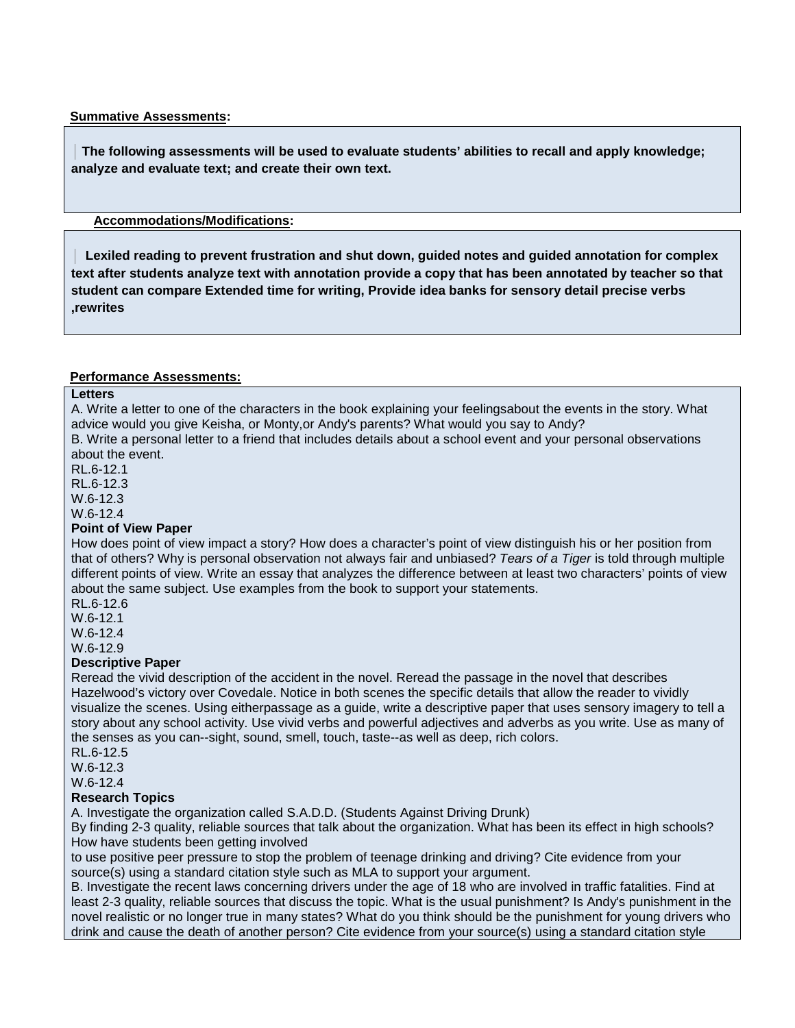#### **Summative Assessments:**

 **The following assessments will be used to evaluate students' abilities to recall and apply knowledge; analyze and evaluate text; and create their own text.** 

## **Accommodations/Modifications:**

 **Lexiled reading to prevent frustration and shut down, guided notes and guided annotation for complex text after students analyze text with annotation provide a copy that has been annotated by teacher so that student can compare Extended time for writing, Provide idea banks for sensory detail precise verbs ,rewrites** 

## **Performance Assessments:**

#### **Letters**

A. Write a letter to one of the characters in the book explaining your feelingsabout the events in the story. What advice would you give Keisha, or Monty,or Andy's parents? What would you say to Andy?

B. Write a personal letter to a friend that includes details about a school event and your personal observations about the event.

RL.6-12.1

RL.6-12.3

W.6-12.3

W.6-12.4

#### **Point of View Paper**

How does point of view impact a story? How does a character's point of view distinguish his or her position from that of others? Why is personal observation not always fair and unbiased? *Tears of a Tiger* is told through multiple different points of view. Write an essay that analyzes the difference between at least two characters' points of view about the same subject. Use examples from the book to support your statements.

RL.6-12.6

W.6-12.1

W.6-12.4

## W.6-12.9

### **Descriptive Paper**

Reread the vivid description of the accident in the novel. Reread the passage in the novel that describes Hazelwood's victory over Covedale. Notice in both scenes the specific details that allow the reader to vividly visualize the scenes. Using eitherpassage as a guide, write a descriptive paper that uses sensory imagery to tell a story about any school activity. Use vivid verbs and powerful adjectives and adverbs as you write. Use as many of the senses as you can--sight, sound, smell, touch, taste--as well as deep, rich colors.

RL.6-12.5 W.6-12.3 W.6-12.4

#### **Research Topics**

A. Investigate the organization called S.A.D.D. (Students Against Driving Drunk)

By finding 2-3 quality, reliable sources that talk about the organization. What has been its effect in high schools? How have students been getting involved

to use positive peer pressure to stop the problem of teenage drinking and driving? Cite evidence from your source(s) using a standard citation style such as MLA to support your argument.

B. Investigate the recent laws concerning drivers under the age of 18 who are involved in traffic fatalities. Find at least 2-3 quality, reliable sources that discuss the topic. What is the usual punishment? Is Andy's punishment in the novel realistic or no longer true in many states? What do you think should be the punishment for young drivers who drink and cause the death of another person? Cite evidence from your source(s) using a standard citation style